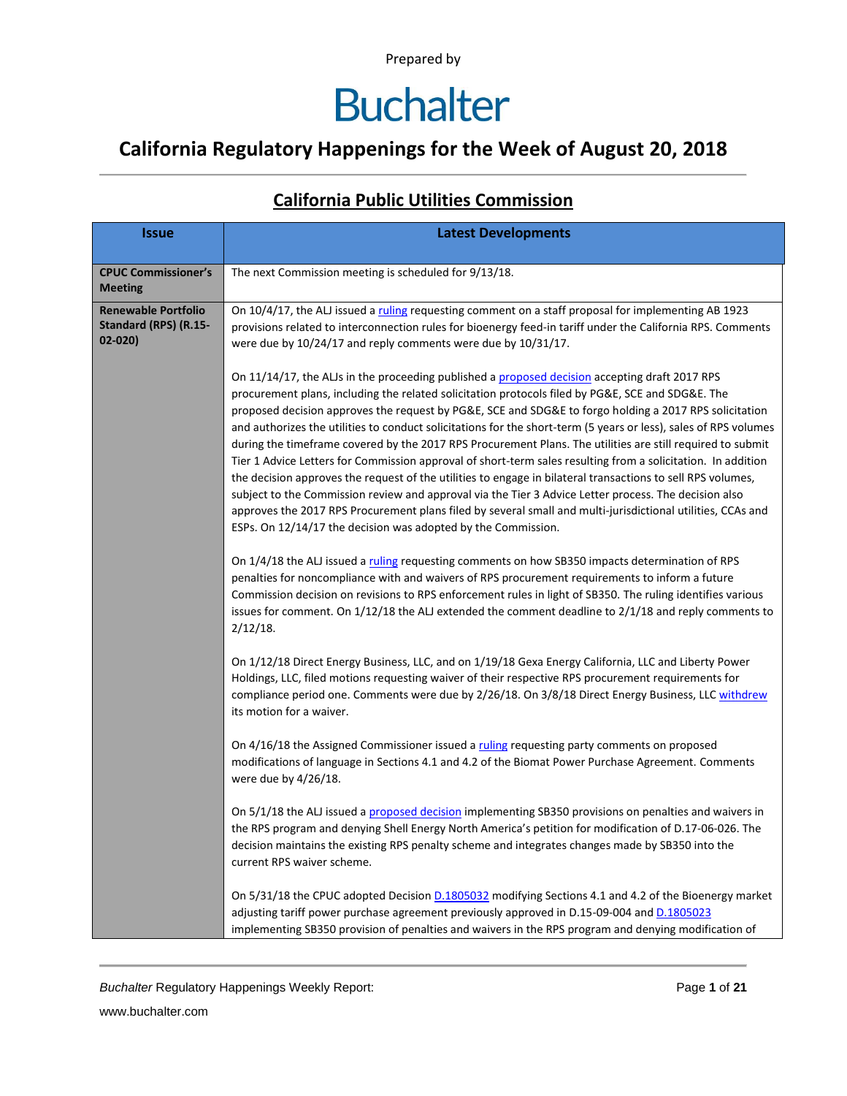### **California Regulatory Happenings for the Week of August 20, 2018**

| <b>Issue</b>                                                      | <b>Latest Developments</b>                                                                                                                                                                                                                                                                                                                                                                                                                                                                                                                                                                                                                                                                                                                                                                                                                                                                                                                                                                                                                                                                                                                                                 |
|-------------------------------------------------------------------|----------------------------------------------------------------------------------------------------------------------------------------------------------------------------------------------------------------------------------------------------------------------------------------------------------------------------------------------------------------------------------------------------------------------------------------------------------------------------------------------------------------------------------------------------------------------------------------------------------------------------------------------------------------------------------------------------------------------------------------------------------------------------------------------------------------------------------------------------------------------------------------------------------------------------------------------------------------------------------------------------------------------------------------------------------------------------------------------------------------------------------------------------------------------------|
| <b>CPUC Commissioner's</b><br><b>Meeting</b>                      | The next Commission meeting is scheduled for 9/13/18.                                                                                                                                                                                                                                                                                                                                                                                                                                                                                                                                                                                                                                                                                                                                                                                                                                                                                                                                                                                                                                                                                                                      |
| <b>Renewable Portfolio</b><br>Standard (RPS) (R.15-<br>$02 - 020$ | On 10/4/17, the ALJ issued a ruling requesting comment on a staff proposal for implementing AB 1923<br>provisions related to interconnection rules for bioenergy feed-in tariff under the California RPS. Comments<br>were due by 10/24/17 and reply comments were due by 10/31/17.                                                                                                                                                                                                                                                                                                                                                                                                                                                                                                                                                                                                                                                                                                                                                                                                                                                                                        |
|                                                                   | On 11/14/17, the ALJs in the proceeding published a proposed decision accepting draft 2017 RPS<br>procurement plans, including the related solicitation protocols filed by PG&E, SCE and SDG&E. The<br>proposed decision approves the request by PG&E, SCE and SDG&E to forgo holding a 2017 RPS solicitation<br>and authorizes the utilities to conduct solicitations for the short-term (5 years or less), sales of RPS volumes<br>during the timeframe covered by the 2017 RPS Procurement Plans. The utilities are still required to submit<br>Tier 1 Advice Letters for Commission approval of short-term sales resulting from a solicitation. In addition<br>the decision approves the request of the utilities to engage in bilateral transactions to sell RPS volumes,<br>subject to the Commission review and approval via the Tier 3 Advice Letter process. The decision also<br>approves the 2017 RPS Procurement plans filed by several small and multi-jurisdictional utilities, CCAs and<br>ESPs. On 12/14/17 the decision was adopted by the Commission.<br>On 1/4/18 the ALJ issued a ruling requesting comments on how SB350 impacts determination of RPS |
|                                                                   | penalties for noncompliance with and waivers of RPS procurement requirements to inform a future<br>Commission decision on revisions to RPS enforcement rules in light of SB350. The ruling identifies various<br>issues for comment. On $1/12/18$ the ALJ extended the comment deadline to $2/1/18$ and reply comments to<br>$2/12/18$ .                                                                                                                                                                                                                                                                                                                                                                                                                                                                                                                                                                                                                                                                                                                                                                                                                                   |
|                                                                   | On 1/12/18 Direct Energy Business, LLC, and on 1/19/18 Gexa Energy California, LLC and Liberty Power<br>Holdings, LLC, filed motions requesting waiver of their respective RPS procurement requirements for<br>compliance period one. Comments were due by 2/26/18. On 3/8/18 Direct Energy Business, LLC withdrew<br>its motion for a waiver.                                                                                                                                                                                                                                                                                                                                                                                                                                                                                                                                                                                                                                                                                                                                                                                                                             |
|                                                                   | On 4/16/18 the Assigned Commissioner issued a ruling requesting party comments on proposed<br>modifications of language in Sections 4.1 and 4.2 of the Biomat Power Purchase Agreement. Comments<br>were due by 4/26/18.                                                                                                                                                                                                                                                                                                                                                                                                                                                                                                                                                                                                                                                                                                                                                                                                                                                                                                                                                   |
|                                                                   | On 5/1/18 the ALJ issued a proposed decision implementing SB350 provisions on penalties and waivers in<br>the RPS program and denying Shell Energy North America's petition for modification of D.17-06-026. The<br>decision maintains the existing RPS penalty scheme and integrates changes made by SB350 into the<br>current RPS waiver scheme.                                                                                                                                                                                                                                                                                                                                                                                                                                                                                                                                                                                                                                                                                                                                                                                                                         |
|                                                                   | On 5/31/18 the CPUC adopted Decision D.1805032 modifying Sections 4.1 and 4.2 of the Bioenergy market<br>adjusting tariff power purchase agreement previously approved in D.15-09-004 and D.1805023<br>implementing SB350 provision of penalties and waivers in the RPS program and denying modification of                                                                                                                                                                                                                                                                                                                                                                                                                                                                                                                                                                                                                                                                                                                                                                                                                                                                |

#### **California Public Utilities Commission**

**Buchalter Regulatory Happenings Weekly Report:** Page 1 of 21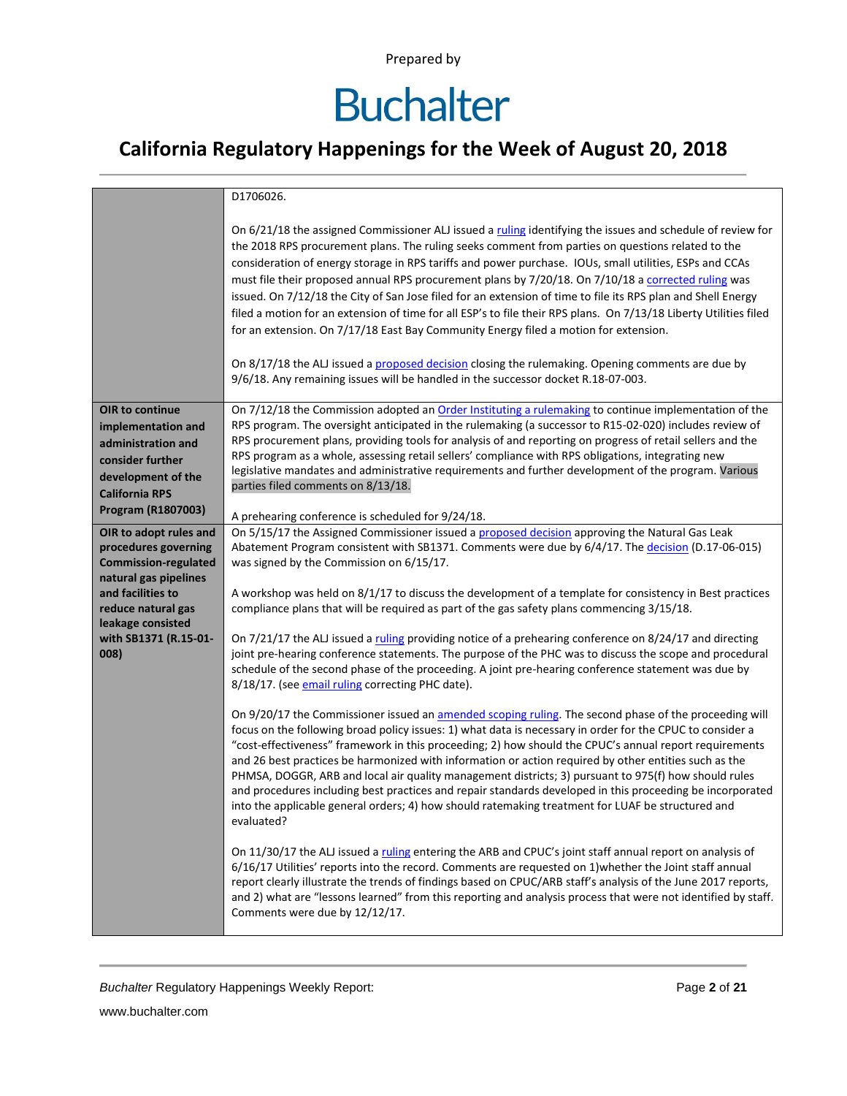### **California Regulatory Happenings for the Week of August 20, 2018**

|                                         | D1706026.                                                                                                                                                                                                                                                                                                                                                                                                                                                                                                                                                                                                                                                                                                                                                                     |
|-----------------------------------------|-------------------------------------------------------------------------------------------------------------------------------------------------------------------------------------------------------------------------------------------------------------------------------------------------------------------------------------------------------------------------------------------------------------------------------------------------------------------------------------------------------------------------------------------------------------------------------------------------------------------------------------------------------------------------------------------------------------------------------------------------------------------------------|
|                                         | On 6/21/18 the assigned Commissioner ALJ issued a ruling identifying the issues and schedule of review for<br>the 2018 RPS procurement plans. The ruling seeks comment from parties on questions related to the<br>consideration of energy storage in RPS tariffs and power purchase. IOUs, small utilities, ESPs and CCAs<br>must file their proposed annual RPS procurement plans by 7/20/18. On 7/10/18 a corrected ruling was<br>issued. On 7/12/18 the City of San Jose filed for an extension of time to file its RPS plan and Shell Energy<br>filed a motion for an extension of time for all ESP's to file their RPS plans. On 7/13/18 Liberty Utilities filed<br>for an extension. On 7/17/18 East Bay Community Energy filed a motion for extension.                |
|                                         | On 8/17/18 the ALJ issued a proposed decision closing the rulemaking. Opening comments are due by<br>9/6/18. Any remaining issues will be handled in the successor docket R.18-07-003.                                                                                                                                                                                                                                                                                                                                                                                                                                                                                                                                                                                        |
| OIR to continue                         | On 7/12/18 the Commission adopted an Order Instituting a rulemaking to continue implementation of the                                                                                                                                                                                                                                                                                                                                                                                                                                                                                                                                                                                                                                                                         |
| implementation and                      | RPS program. The oversight anticipated in the rulemaking (a successor to R15-02-020) includes review of                                                                                                                                                                                                                                                                                                                                                                                                                                                                                                                                                                                                                                                                       |
| administration and                      | RPS procurement plans, providing tools for analysis of and reporting on progress of retail sellers and the                                                                                                                                                                                                                                                                                                                                                                                                                                                                                                                                                                                                                                                                    |
| consider further                        | RPS program as a whole, assessing retail sellers' compliance with RPS obligations, integrating new                                                                                                                                                                                                                                                                                                                                                                                                                                                                                                                                                                                                                                                                            |
| development of the                      | legislative mandates and administrative requirements and further development of the program. Various<br>parties filed comments on 8/13/18.                                                                                                                                                                                                                                                                                                                                                                                                                                                                                                                                                                                                                                    |
| <b>California RPS</b>                   |                                                                                                                                                                                                                                                                                                                                                                                                                                                                                                                                                                                                                                                                                                                                                                               |
| Program (R1807003)                      | A prehearing conference is scheduled for 9/24/18.                                                                                                                                                                                                                                                                                                                                                                                                                                                                                                                                                                                                                                                                                                                             |
| OIR to adopt rules and                  | On 5/15/17 the Assigned Commissioner issued a proposed decision approving the Natural Gas Leak                                                                                                                                                                                                                                                                                                                                                                                                                                                                                                                                                                                                                                                                                |
| procedures governing                    | Abatement Program consistent with SB1371. Comments were due by 6/4/17. The decision (D.17-06-015)                                                                                                                                                                                                                                                                                                                                                                                                                                                                                                                                                                                                                                                                             |
| <b>Commission-regulated</b>             | was signed by the Commission on 6/15/17.                                                                                                                                                                                                                                                                                                                                                                                                                                                                                                                                                                                                                                                                                                                                      |
| natural gas pipelines                   |                                                                                                                                                                                                                                                                                                                                                                                                                                                                                                                                                                                                                                                                                                                                                                               |
| and facilities to<br>reduce natural gas | A workshop was held on 8/1/17 to discuss the development of a template for consistency in Best practices<br>compliance plans that will be required as part of the gas safety plans commencing 3/15/18.                                                                                                                                                                                                                                                                                                                                                                                                                                                                                                                                                                        |
| leakage consisted                       |                                                                                                                                                                                                                                                                                                                                                                                                                                                                                                                                                                                                                                                                                                                                                                               |
| with SB1371 (R.15-01-                   | On 7/21/17 the ALJ issued a ruling providing notice of a prehearing conference on 8/24/17 and directing                                                                                                                                                                                                                                                                                                                                                                                                                                                                                                                                                                                                                                                                       |
| 008)                                    | joint pre-hearing conference statements. The purpose of the PHC was to discuss the scope and procedural<br>schedule of the second phase of the proceeding. A joint pre-hearing conference statement was due by<br>8/18/17. (see email ruling correcting PHC date).                                                                                                                                                                                                                                                                                                                                                                                                                                                                                                            |
|                                         | On 9/20/17 the Commissioner issued an amended scoping ruling. The second phase of the proceeding will<br>focus on the following broad policy issues: 1) what data is necessary in order for the CPUC to consider a<br>"cost-effectiveness" framework in this proceeding; 2) how should the CPUC's annual report requirements<br>and 26 best practices be harmonized with information or action required by other entities such as the<br>PHMSA, DOGGR, ARB and local air quality management districts; 3) pursuant to 975(f) how should rules<br>and procedures including best practices and repair standards developed in this proceeding be incorporated<br>into the applicable general orders; 4) how should ratemaking treatment for LUAF be structured and<br>evaluated? |
|                                         | On 11/30/17 the ALJ issued a ruling entering the ARB and CPUC's joint staff annual report on analysis of<br>6/16/17 Utilities' reports into the record. Comments are requested on 1) whether the Joint staff annual<br>report clearly illustrate the trends of findings based on CPUC/ARB staff's analysis of the June 2017 reports,<br>and 2) what are "lessons learned" from this reporting and analysis process that were not identified by staff.<br>Comments were due by 12/12/17.                                                                                                                                                                                                                                                                                       |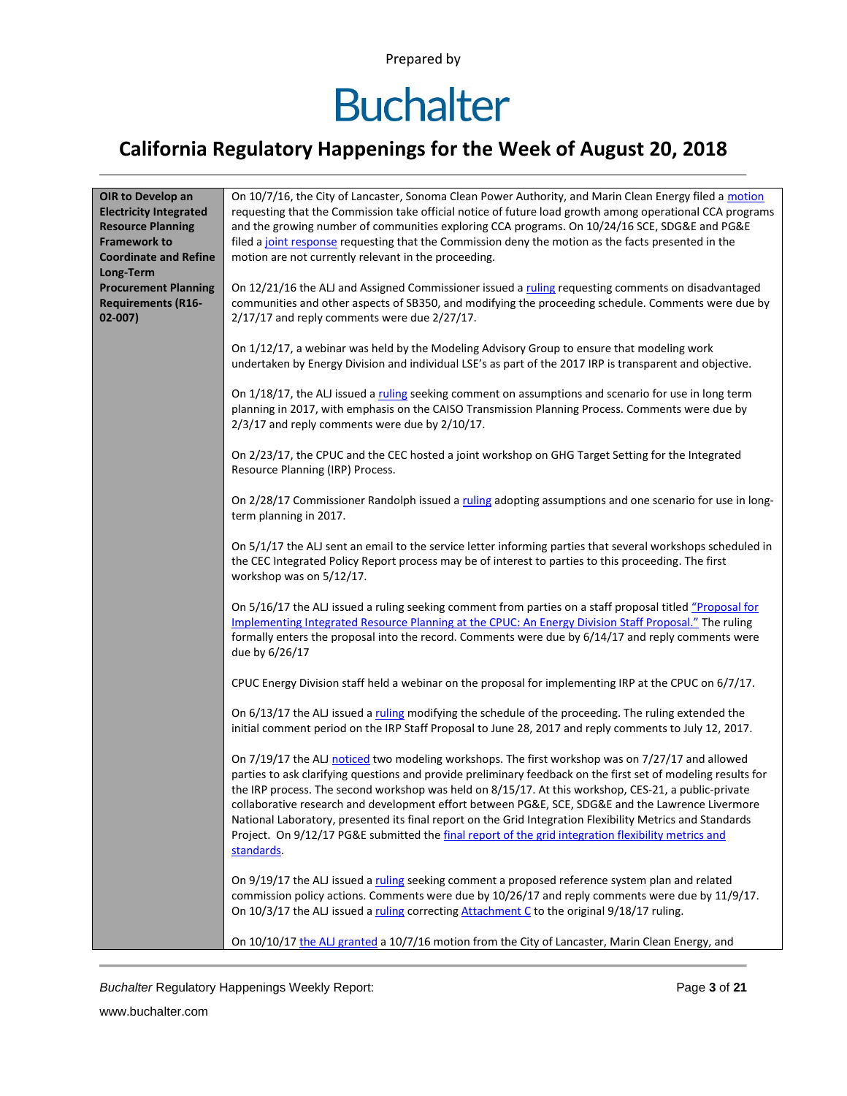# **Buchalter**

### **California Regulatory Happenings for the Week of August 20, 2018**

| OIR to Develop an             | On 10/7/16, the City of Lancaster, Sonoma Clean Power Authority, and Marin Clean Energy filed a motion                                                                                                           |
|-------------------------------|------------------------------------------------------------------------------------------------------------------------------------------------------------------------------------------------------------------|
| <b>Electricity Integrated</b> | requesting that the Commission take official notice of future load growth among operational CCA programs                                                                                                         |
| <b>Resource Planning</b>      | and the growing number of communities exploring CCA programs. On 10/24/16 SCE, SDG&E and PG&E                                                                                                                    |
| <b>Framework to</b>           | filed a joint response requesting that the Commission deny the motion as the facts presented in the                                                                                                              |
| <b>Coordinate and Refine</b>  | motion are not currently relevant in the proceeding.                                                                                                                                                             |
| Long-Term                     |                                                                                                                                                                                                                  |
| <b>Procurement Planning</b>   | On 12/21/16 the ALJ and Assigned Commissioner issued a ruling requesting comments on disadvantaged                                                                                                               |
| <b>Requirements (R16-</b>     | communities and other aspects of SB350, and modifying the proceeding schedule. Comments were due by                                                                                                              |
| $02 - 007$                    | 2/17/17 and reply comments were due 2/27/17.                                                                                                                                                                     |
|                               |                                                                                                                                                                                                                  |
|                               | On 1/12/17, a webinar was held by the Modeling Advisory Group to ensure that modeling work                                                                                                                       |
|                               | undertaken by Energy Division and individual LSE's as part of the 2017 IRP is transparent and objective.                                                                                                         |
|                               |                                                                                                                                                                                                                  |
|                               | On 1/18/17, the ALJ issued a ruling seeking comment on assumptions and scenario for use in long term                                                                                                             |
|                               | planning in 2017, with emphasis on the CAISO Transmission Planning Process. Comments were due by                                                                                                                 |
|                               | 2/3/17 and reply comments were due by 2/10/17.                                                                                                                                                                   |
|                               |                                                                                                                                                                                                                  |
|                               | On 2/23/17, the CPUC and the CEC hosted a joint workshop on GHG Target Setting for the Integrated                                                                                                                |
|                               | Resource Planning (IRP) Process.                                                                                                                                                                                 |
|                               |                                                                                                                                                                                                                  |
|                               | On 2/28/17 Commissioner Randolph issued a ruling adopting assumptions and one scenario for use in long-                                                                                                          |
|                               | term planning in 2017.                                                                                                                                                                                           |
|                               |                                                                                                                                                                                                                  |
|                               | On 5/1/17 the ALJ sent an email to the service letter informing parties that several workshops scheduled in                                                                                                      |
|                               | the CEC Integrated Policy Report process may be of interest to parties to this proceeding. The first                                                                                                             |
|                               | workshop was on 5/12/17.                                                                                                                                                                                         |
|                               |                                                                                                                                                                                                                  |
|                               | On 5/16/17 the ALJ issued a ruling seeking comment from parties on a staff proposal titled "Proposal for                                                                                                         |
|                               | Implementing Integrated Resource Planning at the CPUC: An Energy Division Staff Proposal." The ruling                                                                                                            |
|                               |                                                                                                                                                                                                                  |
|                               | formally enters the proposal into the record. Comments were due by 6/14/17 and reply comments were                                                                                                               |
|                               | due by 6/26/17                                                                                                                                                                                                   |
|                               | CPUC Energy Division staff held a webinar on the proposal for implementing IRP at the CPUC on 6/7/17.                                                                                                            |
|                               |                                                                                                                                                                                                                  |
|                               | On 6/13/17 the ALJ issued a ruling modifying the schedule of the proceeding. The ruling extended the                                                                                                             |
|                               | initial comment period on the IRP Staff Proposal to June 28, 2017 and reply comments to July 12, 2017.                                                                                                           |
|                               |                                                                                                                                                                                                                  |
|                               | On 7/19/17 the ALJ noticed two modeling workshops. The first workshop was on 7/27/17 and allowed                                                                                                                 |
|                               | parties to ask clarifying questions and provide preliminary feedback on the first set of modeling results for                                                                                                    |
|                               | the IRP process. The second workshop was held on 8/15/17. At this workshop, CES-21, a public-private                                                                                                             |
|                               | collaborative research and development effort between PG&E, SCE, SDG&E and the Lawrence Livermore                                                                                                                |
|                               |                                                                                                                                                                                                                  |
|                               | National Laboratory, presented its final report on the Grid Integration Flexibility Metrics and Standards<br>Project. On 9/12/17 PG&E submitted the final report of the grid integration flexibility metrics and |
|                               | standards.                                                                                                                                                                                                       |
|                               |                                                                                                                                                                                                                  |
|                               | On 9/19/17 the ALJ issued a ruling seeking comment a proposed reference system plan and related                                                                                                                  |
|                               | commission policy actions. Comments were due by 10/26/17 and reply comments were due by 11/9/17.                                                                                                                 |
|                               |                                                                                                                                                                                                                  |
|                               | On 10/3/17 the ALJ issued a ruling correcting Attachment C to the original 9/18/17 ruling.                                                                                                                       |
|                               |                                                                                                                                                                                                                  |
|                               | On 10/10/17 the ALJ granted a 10/7/16 motion from the City of Lancaster, Marin Clean Energy, and                                                                                                                 |

**Buchalter Regulatory Happenings Weekly Report:** Page 3 of 21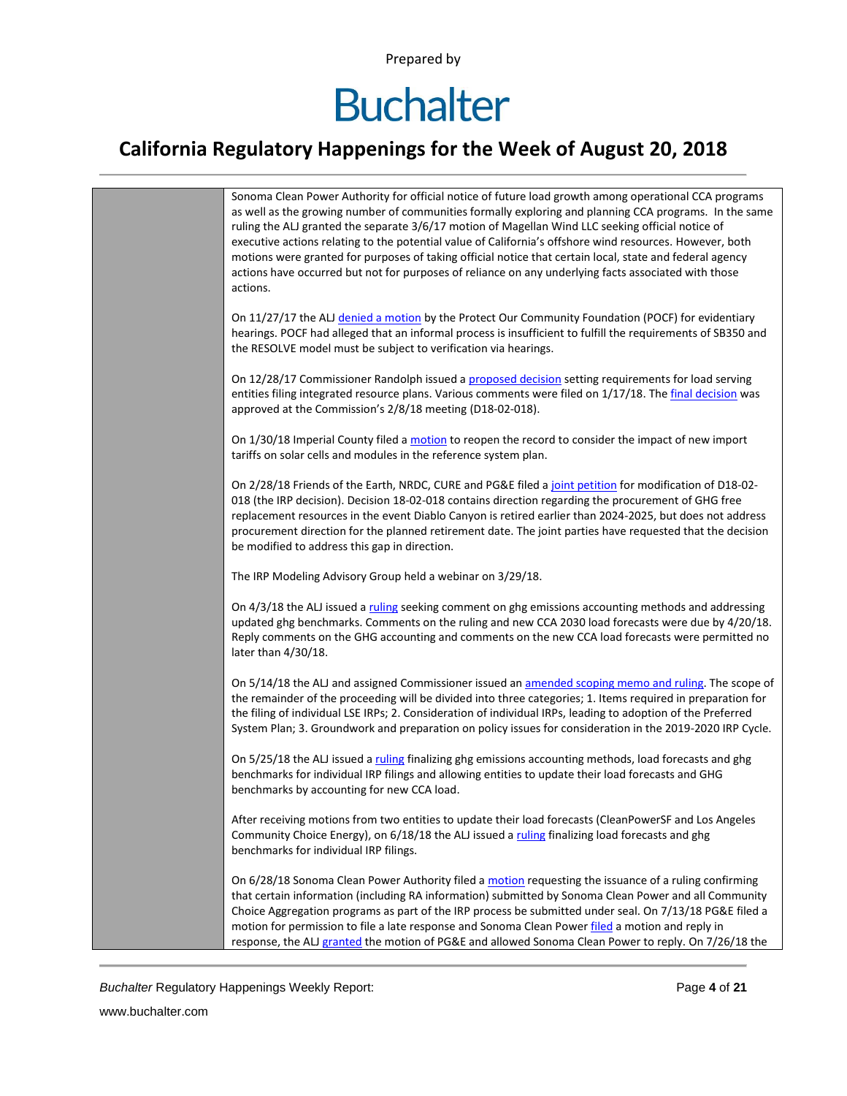## **Buchalter**

#### **California Regulatory Happenings for the Week of August 20, 2018**



*Buchalter* Regulatory Happenings Weekly Report: Page **4** of **21**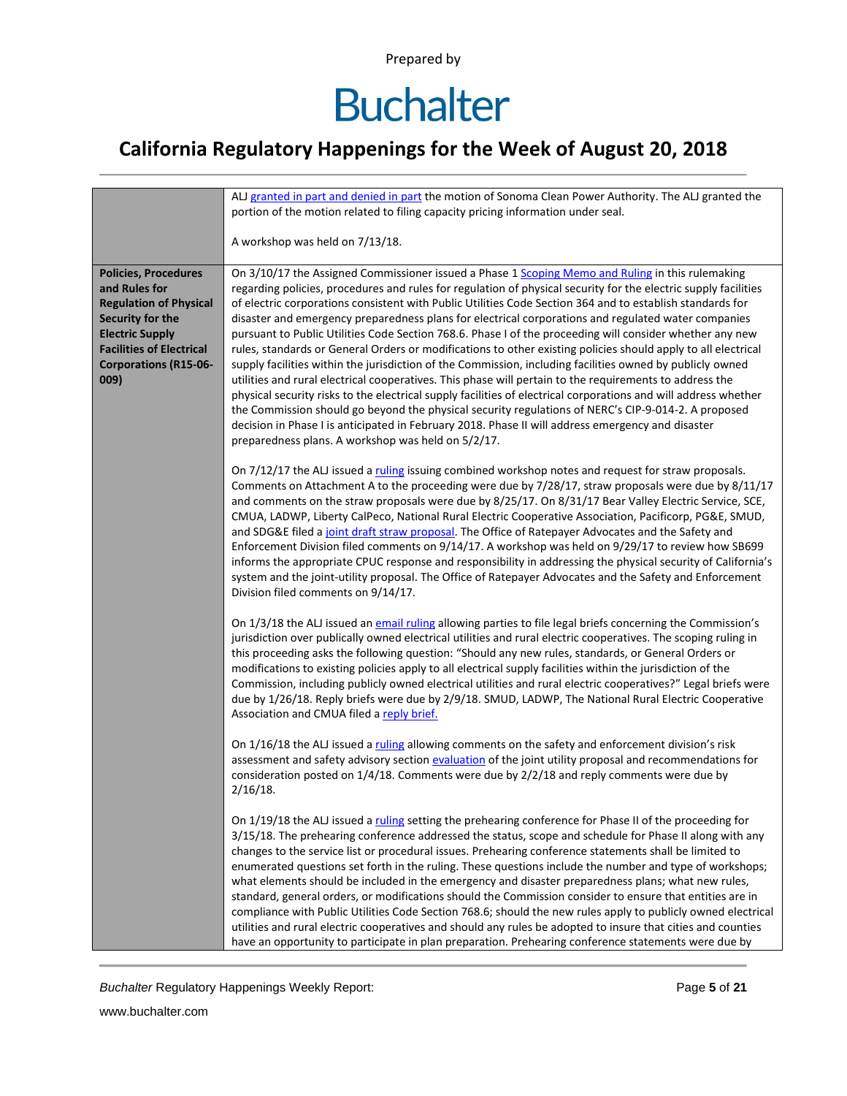### **California Regulatory Happenings for the Week of August 20, 2018**

|                                                                                                                                                                                                        | ALJ granted in part and denied in part the motion of Sonoma Clean Power Authority. The ALJ granted the<br>portion of the motion related to filing capacity pricing information under seal.                                                                                                                                                                                                                                                                                                                                                                                                                                                                                                                                                                                                                                                                                                                                                                                                                                                                                                                                                                                                                                                                                        |
|--------------------------------------------------------------------------------------------------------------------------------------------------------------------------------------------------------|-----------------------------------------------------------------------------------------------------------------------------------------------------------------------------------------------------------------------------------------------------------------------------------------------------------------------------------------------------------------------------------------------------------------------------------------------------------------------------------------------------------------------------------------------------------------------------------------------------------------------------------------------------------------------------------------------------------------------------------------------------------------------------------------------------------------------------------------------------------------------------------------------------------------------------------------------------------------------------------------------------------------------------------------------------------------------------------------------------------------------------------------------------------------------------------------------------------------------------------------------------------------------------------|
|                                                                                                                                                                                                        | A workshop was held on 7/13/18.                                                                                                                                                                                                                                                                                                                                                                                                                                                                                                                                                                                                                                                                                                                                                                                                                                                                                                                                                                                                                                                                                                                                                                                                                                                   |
| <b>Policies, Procedures</b><br>and Rules for<br><b>Regulation of Physical</b><br>Security for the<br><b>Electric Supply</b><br><b>Facilities of Electrical</b><br><b>Corporations (R15-06-</b><br>009) | On 3/10/17 the Assigned Commissioner issued a Phase 1 Scoping Memo and Ruling in this rulemaking<br>regarding policies, procedures and rules for regulation of physical security for the electric supply facilities<br>of electric corporations consistent with Public Utilities Code Section 364 and to establish standards for<br>disaster and emergency preparedness plans for electrical corporations and regulated water companies<br>pursuant to Public Utilities Code Section 768.6. Phase I of the proceeding will consider whether any new<br>rules, standards or General Orders or modifications to other existing policies should apply to all electrical<br>supply facilities within the jurisdiction of the Commission, including facilities owned by publicly owned<br>utilities and rural electrical cooperatives. This phase will pertain to the requirements to address the<br>physical security risks to the electrical supply facilities of electrical corporations and will address whether<br>the Commission should go beyond the physical security regulations of NERC's CIP-9-014-2. A proposed<br>decision in Phase I is anticipated in February 2018. Phase II will address emergency and disaster<br>preparedness plans. A workshop was held on 5/2/17. |
|                                                                                                                                                                                                        | On 7/12/17 the ALJ issued a ruling issuing combined workshop notes and request for straw proposals.<br>Comments on Attachment A to the proceeding were due by 7/28/17, straw proposals were due by 8/11/17<br>and comments on the straw proposals were due by 8/25/17. On 8/31/17 Bear Valley Electric Service, SCE,<br>CMUA, LADWP, Liberty CalPeco, National Rural Electric Cooperative Association, Pacificorp, PG&E, SMUD,<br>and SDG&E filed a joint draft straw proposal. The Office of Ratepayer Advocates and the Safety and<br>Enforcement Division filed comments on 9/14/17. A workshop was held on 9/29/17 to review how SB699<br>informs the appropriate CPUC response and responsibility in addressing the physical security of California's<br>system and the joint-utility proposal. The Office of Ratepayer Advocates and the Safety and Enforcement<br>Division filed comments on 9/14/17.                                                                                                                                                                                                                                                                                                                                                                      |
|                                                                                                                                                                                                        | On 1/3/18 the ALJ issued an email ruling allowing parties to file legal briefs concerning the Commission's<br>jurisdiction over publically owned electrical utilities and rural electric cooperatives. The scoping ruling in<br>this proceeding asks the following question: "Should any new rules, standards, or General Orders or<br>modifications to existing policies apply to all electrical supply facilities within the jurisdiction of the<br>Commission, including publicly owned electrical utilities and rural electric cooperatives?" Legal briefs were<br>due by 1/26/18. Reply briefs were due by 2/9/18. SMUD, LADWP, The National Rural Electric Cooperative<br>Association and CMUA filed a reply brief.                                                                                                                                                                                                                                                                                                                                                                                                                                                                                                                                                         |
|                                                                                                                                                                                                        | On 1/16/18 the ALJ issued a ruling allowing comments on the safety and enforcement division's risk<br>assessment and safety advisory section evaluation of the joint utility proposal and recommendations for<br>consideration posted on 1/4/18. Comments were due by 2/2/18 and reply comments were due by<br>$2/16/18$ .                                                                                                                                                                                                                                                                                                                                                                                                                                                                                                                                                                                                                                                                                                                                                                                                                                                                                                                                                        |
|                                                                                                                                                                                                        | On 1/19/18 the ALJ issued a ruling setting the prehearing conference for Phase II of the proceeding for<br>3/15/18. The prehearing conference addressed the status, scope and schedule for Phase II along with any<br>changes to the service list or procedural issues. Prehearing conference statements shall be limited to<br>enumerated questions set forth in the ruling. These questions include the number and type of workshops;<br>what elements should be included in the emergency and disaster preparedness plans; what new rules,<br>standard, general orders, or modifications should the Commission consider to ensure that entities are in<br>compliance with Public Utilities Code Section 768.6; should the new rules apply to publicly owned electrical<br>utilities and rural electric cooperatives and should any rules be adopted to insure that cities and counties<br>have an opportunity to participate in plan preparation. Prehearing conference statements were due by                                                                                                                                                                                                                                                                                 |

**Buchalter Regulatory Happenings Weekly Report:** Page 5 of 21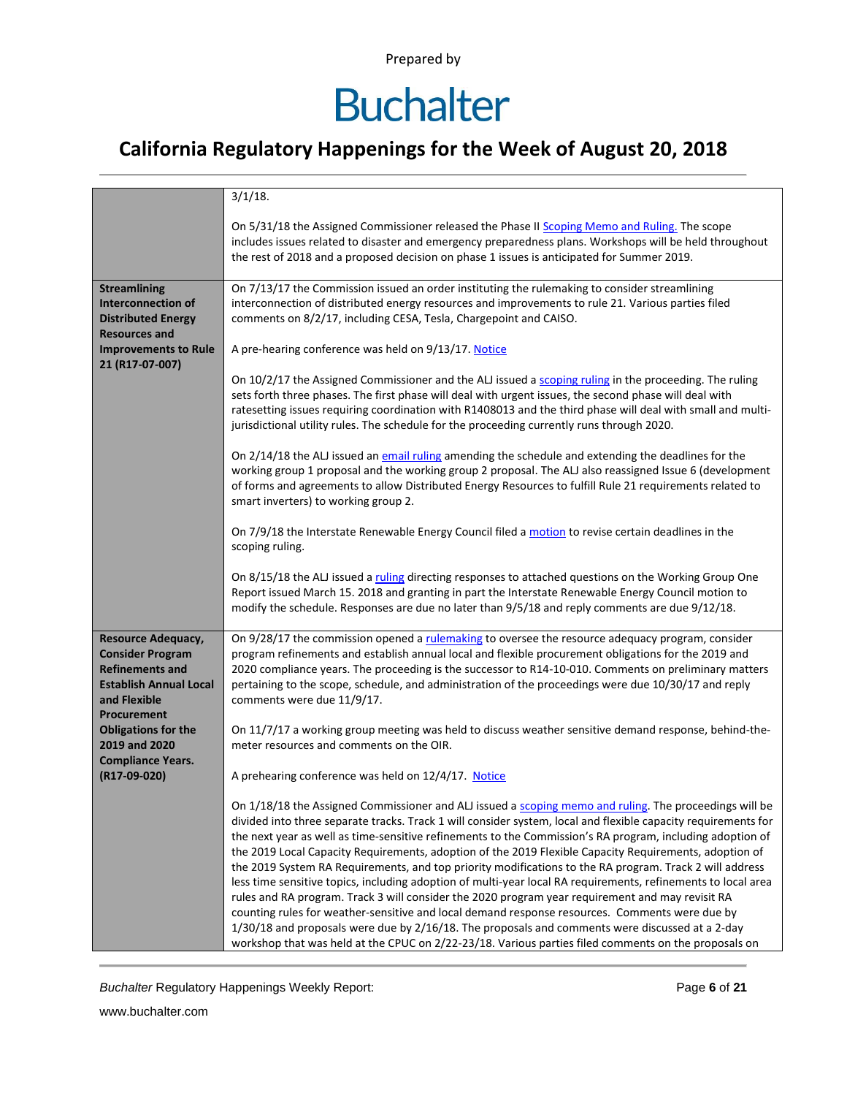### **California Regulatory Happenings for the Week of August 20, 2018**

|                                                                                                                                         | $3/1/18$ .                                                                                                                                                                                                                                                                                                                                                                                                                                                                                                                                                                                                                                                                                                                                                                                                                                                                                                                                                                                                                                                                                   |
|-----------------------------------------------------------------------------------------------------------------------------------------|----------------------------------------------------------------------------------------------------------------------------------------------------------------------------------------------------------------------------------------------------------------------------------------------------------------------------------------------------------------------------------------------------------------------------------------------------------------------------------------------------------------------------------------------------------------------------------------------------------------------------------------------------------------------------------------------------------------------------------------------------------------------------------------------------------------------------------------------------------------------------------------------------------------------------------------------------------------------------------------------------------------------------------------------------------------------------------------------|
|                                                                                                                                         | On 5/31/18 the Assigned Commissioner released the Phase II Scoping Memo and Ruling. The scope<br>includes issues related to disaster and emergency preparedness plans. Workshops will be held throughout<br>the rest of 2018 and a proposed decision on phase 1 issues is anticipated for Summer 2019.                                                                                                                                                                                                                                                                                                                                                                                                                                                                                                                                                                                                                                                                                                                                                                                       |
| <b>Streamlining</b><br><b>Interconnection of</b><br><b>Distributed Energy</b><br><b>Resources and</b>                                   | On 7/13/17 the Commission issued an order instituting the rulemaking to consider streamlining<br>interconnection of distributed energy resources and improvements to rule 21. Various parties filed<br>comments on 8/2/17, including CESA, Tesla, Chargepoint and CAISO.                                                                                                                                                                                                                                                                                                                                                                                                                                                                                                                                                                                                                                                                                                                                                                                                                     |
| <b>Improvements to Rule</b>                                                                                                             | A pre-hearing conference was held on 9/13/17. Notice                                                                                                                                                                                                                                                                                                                                                                                                                                                                                                                                                                                                                                                                                                                                                                                                                                                                                                                                                                                                                                         |
| 21 (R17-07-007)                                                                                                                         | On 10/2/17 the Assigned Commissioner and the ALJ issued a scoping ruling in the proceeding. The ruling<br>sets forth three phases. The first phase will deal with urgent issues, the second phase will deal with<br>ratesetting issues requiring coordination with R1408013 and the third phase will deal with small and multi-<br>jurisdictional utility rules. The schedule for the proceeding currently runs through 2020.                                                                                                                                                                                                                                                                                                                                                                                                                                                                                                                                                                                                                                                                |
|                                                                                                                                         | On 2/14/18 the ALJ issued an email ruling amending the schedule and extending the deadlines for the<br>working group 1 proposal and the working group 2 proposal. The ALJ also reassigned Issue 6 (development<br>of forms and agreements to allow Distributed Energy Resources to fulfill Rule 21 requirements related to<br>smart inverters) to working group 2.                                                                                                                                                                                                                                                                                                                                                                                                                                                                                                                                                                                                                                                                                                                           |
|                                                                                                                                         | On 7/9/18 the Interstate Renewable Energy Council filed a motion to revise certain deadlines in the<br>scoping ruling.                                                                                                                                                                                                                                                                                                                                                                                                                                                                                                                                                                                                                                                                                                                                                                                                                                                                                                                                                                       |
|                                                                                                                                         | On 8/15/18 the ALJ issued a ruling directing responses to attached questions on the Working Group One<br>Report issued March 15. 2018 and granting in part the Interstate Renewable Energy Council motion to<br>modify the schedule. Responses are due no later than 9/5/18 and reply comments are due 9/12/18.                                                                                                                                                                                                                                                                                                                                                                                                                                                                                                                                                                                                                                                                                                                                                                              |
| Resource Adequacy,<br><b>Consider Program</b><br><b>Refinements and</b><br><b>Establish Annual Local</b><br>and Flexible<br>Procurement | On 9/28/17 the commission opened a rulemaking to oversee the resource adequacy program, consider<br>program refinements and establish annual local and flexible procurement obligations for the 2019 and<br>2020 compliance years. The proceeding is the successor to R14-10-010. Comments on preliminary matters<br>pertaining to the scope, schedule, and administration of the proceedings were due 10/30/17 and reply<br>comments were due 11/9/17.                                                                                                                                                                                                                                                                                                                                                                                                                                                                                                                                                                                                                                      |
| <b>Obligations for the</b><br>2019 and 2020<br><b>Compliance Years.</b>                                                                 | On 11/7/17 a working group meeting was held to discuss weather sensitive demand response, behind-the-<br>meter resources and comments on the OIR.                                                                                                                                                                                                                                                                                                                                                                                                                                                                                                                                                                                                                                                                                                                                                                                                                                                                                                                                            |
| (R17-09-020)                                                                                                                            | A prehearing conference was held on 12/4/17. Notice                                                                                                                                                                                                                                                                                                                                                                                                                                                                                                                                                                                                                                                                                                                                                                                                                                                                                                                                                                                                                                          |
|                                                                                                                                         | On 1/18/18 the Assigned Commissioner and ALJ issued a scoping memo and ruling. The proceedings will be<br>divided into three separate tracks. Track 1 will consider system, local and flexible capacity requirements for<br>the next year as well as time-sensitive refinements to the Commission's RA program, including adoption of<br>the 2019 Local Capacity Requirements, adoption of the 2019 Flexible Capacity Requirements, adoption of<br>the 2019 System RA Requirements, and top priority modifications to the RA program. Track 2 will address<br>less time sensitive topics, including adoption of multi-year local RA requirements, refinements to local area<br>rules and RA program. Track 3 will consider the 2020 program year requirement and may revisit RA<br>counting rules for weather-sensitive and local demand response resources. Comments were due by<br>1/30/18 and proposals were due by 2/16/18. The proposals and comments were discussed at a 2-day<br>workshop that was held at the CPUC on 2/22-23/18. Various parties filed comments on the proposals on |

**Buchalter Regulatory Happenings Weekly Report:** Page 6 of 21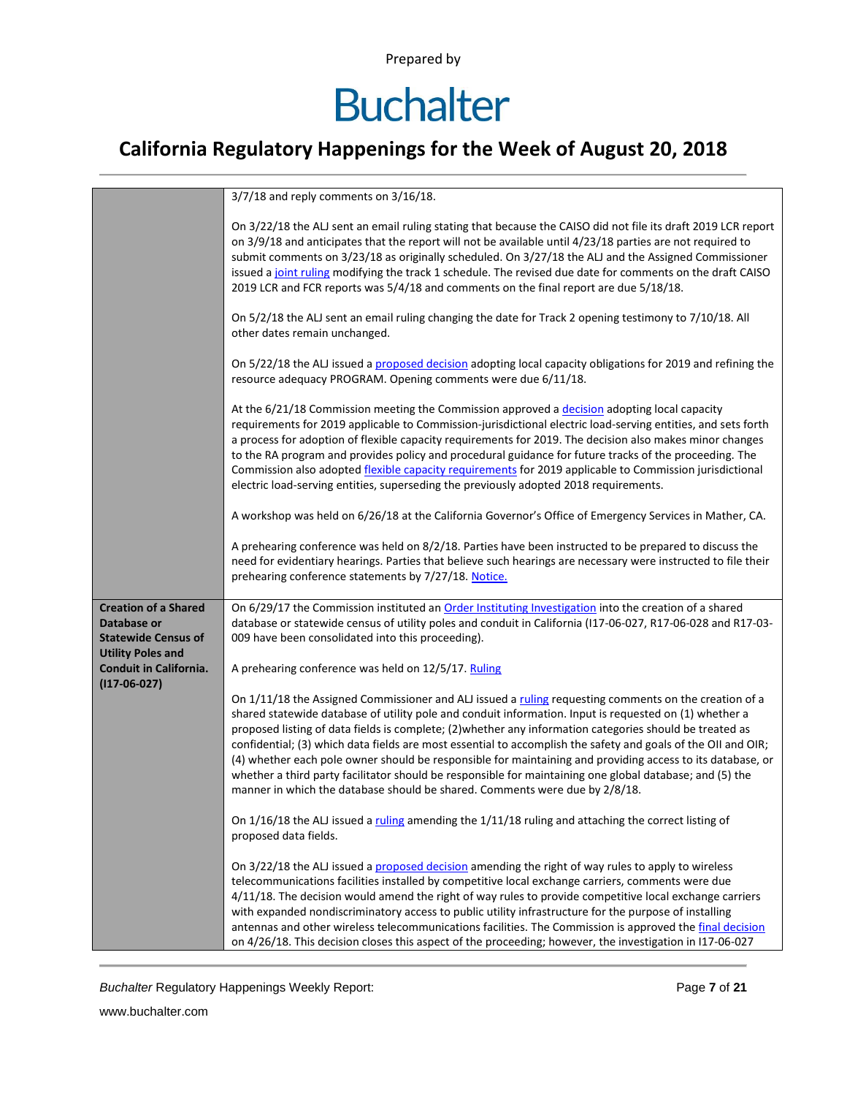# **Buchalter**

### **California Regulatory Happenings for the Week of August 20, 2018**

|                                                                                                      | $3/7/18$ and reply comments on $3/16/18$ .                                                                                                                                                                                                                                                                                                                                                                                                                                                                                                                                                                                                                                                                                                            |
|------------------------------------------------------------------------------------------------------|-------------------------------------------------------------------------------------------------------------------------------------------------------------------------------------------------------------------------------------------------------------------------------------------------------------------------------------------------------------------------------------------------------------------------------------------------------------------------------------------------------------------------------------------------------------------------------------------------------------------------------------------------------------------------------------------------------------------------------------------------------|
|                                                                                                      | On 3/22/18 the ALJ sent an email ruling stating that because the CAISO did not file its draft 2019 LCR report<br>on 3/9/18 and anticipates that the report will not be available until 4/23/18 parties are not required to<br>submit comments on 3/23/18 as originally scheduled. On 3/27/18 the ALJ and the Assigned Commissioner<br>issued a joint ruling modifying the track 1 schedule. The revised due date for comments on the draft CAISO<br>2019 LCR and FCR reports was 5/4/18 and comments on the final report are due 5/18/18.                                                                                                                                                                                                             |
|                                                                                                      | On 5/2/18 the ALJ sent an email ruling changing the date for Track 2 opening testimony to 7/10/18. All<br>other dates remain unchanged.                                                                                                                                                                                                                                                                                                                                                                                                                                                                                                                                                                                                               |
|                                                                                                      | On 5/22/18 the ALJ issued a proposed decision adopting local capacity obligations for 2019 and refining the<br>resource adequacy PROGRAM. Opening comments were due 6/11/18.                                                                                                                                                                                                                                                                                                                                                                                                                                                                                                                                                                          |
|                                                                                                      | At the 6/21/18 Commission meeting the Commission approved a decision adopting local capacity<br>requirements for 2019 applicable to Commission-jurisdictional electric load-serving entities, and sets forth<br>a process for adoption of flexible capacity requirements for 2019. The decision also makes minor changes<br>to the RA program and provides policy and procedural guidance for future tracks of the proceeding. The<br>Commission also adopted <i>flexible capacity requirements</i> for 2019 applicable to Commission jurisdictional<br>electric load-serving entities, superseding the previously adopted 2018 requirements.                                                                                                         |
|                                                                                                      | A workshop was held on 6/26/18 at the California Governor's Office of Emergency Services in Mather, CA.                                                                                                                                                                                                                                                                                                                                                                                                                                                                                                                                                                                                                                               |
|                                                                                                      | A prehearing conference was held on 8/2/18. Parties have been instructed to be prepared to discuss the<br>need for evidentiary hearings. Parties that believe such hearings are necessary were instructed to file their<br>prehearing conference statements by 7/27/18. Notice.                                                                                                                                                                                                                                                                                                                                                                                                                                                                       |
| <b>Creation of a Shared</b><br>Database or<br><b>Statewide Census of</b><br><b>Utility Poles and</b> | On 6/29/17 the Commission instituted an Order Instituting Investigation into the creation of a shared<br>database or statewide census of utility poles and conduit in California (I17-06-027, R17-06-028 and R17-03-<br>009 have been consolidated into this proceeding).                                                                                                                                                                                                                                                                                                                                                                                                                                                                             |
| Conduit in California.                                                                               | A prehearing conference was held on 12/5/17. Ruling                                                                                                                                                                                                                                                                                                                                                                                                                                                                                                                                                                                                                                                                                                   |
| $(117-06-027)$                                                                                       | On 1/11/18 the Assigned Commissioner and ALJ issued a ruling requesting comments on the creation of a<br>shared statewide database of utility pole and conduit information. Input is requested on (1) whether a<br>proposed listing of data fields is complete; (2) whether any information categories should be treated as<br>confidential; (3) which data fields are most essential to accomplish the safety and goals of the OII and OIR;<br>(4) whether each pole owner should be responsible for maintaining and providing access to its database, or<br>whether a third party facilitator should be responsible for maintaining one global database; and (5) the<br>manner in which the database should be shared. Comments were due by 2/8/18. |
|                                                                                                      | On $1/16/18$ the ALJ issued a ruling amending the $1/11/18$ ruling and attaching the correct listing of<br>proposed data fields.                                                                                                                                                                                                                                                                                                                                                                                                                                                                                                                                                                                                                      |
|                                                                                                      | On 3/22/18 the ALJ issued a proposed decision amending the right of way rules to apply to wireless<br>telecommunications facilities installed by competitive local exchange carriers, comments were due<br>4/11/18. The decision would amend the right of way rules to provide competitive local exchange carriers<br>with expanded nondiscriminatory access to public utility infrastructure for the purpose of installing<br>antennas and other wireless telecommunications facilities. The Commission is approved the final decision<br>on 4/26/18. This decision closes this aspect of the proceeding; however, the investigation in I17-06-027                                                                                                   |

**Buchalter Regulatory Happenings Weekly Report:** Page 7 of 21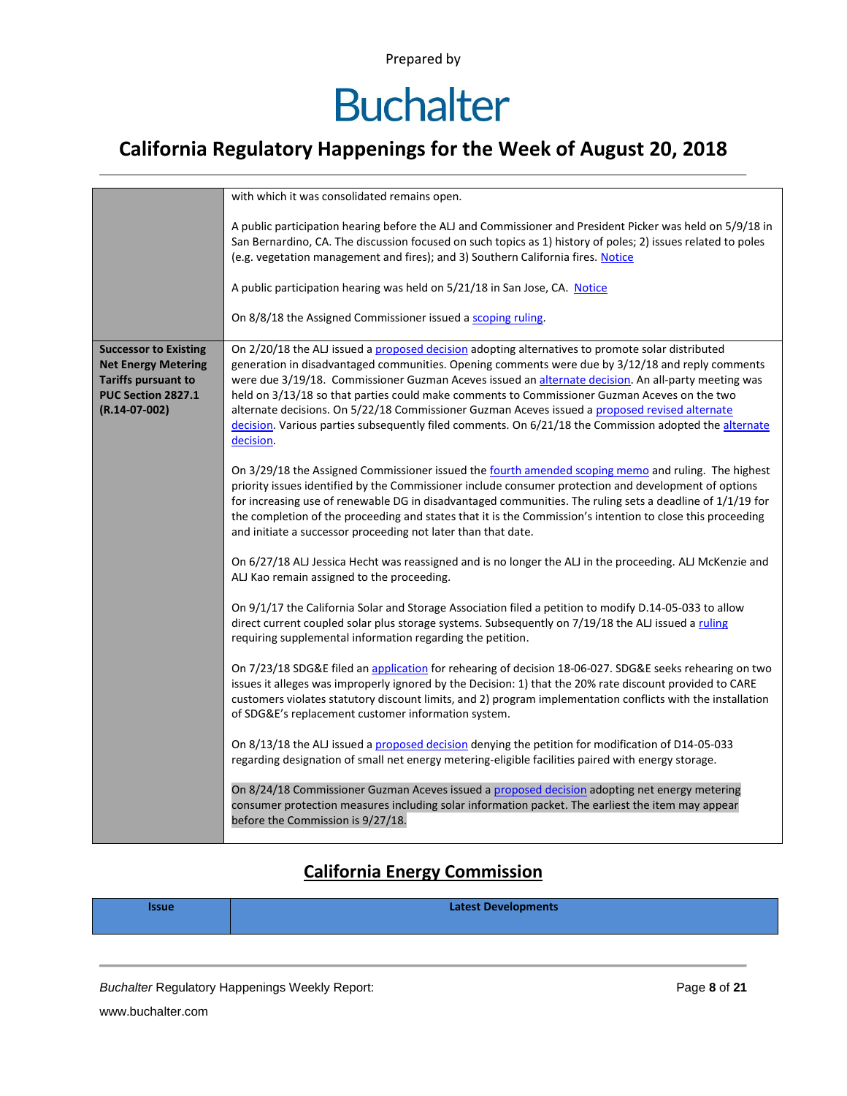# **Buchalter**

### **California Regulatory Happenings for the Week of August 20, 2018**

|                                                                                                                                   | with which it was consolidated remains open.                                                                                                                                                                                                                                                                                                                                                                                                                                                                                                                                                                                         |
|-----------------------------------------------------------------------------------------------------------------------------------|--------------------------------------------------------------------------------------------------------------------------------------------------------------------------------------------------------------------------------------------------------------------------------------------------------------------------------------------------------------------------------------------------------------------------------------------------------------------------------------------------------------------------------------------------------------------------------------------------------------------------------------|
|                                                                                                                                   | A public participation hearing before the ALJ and Commissioner and President Picker was held on 5/9/18 in<br>San Bernardino, CA. The discussion focused on such topics as 1) history of poles; 2) issues related to poles<br>(e.g. vegetation management and fires); and 3) Southern California fires. Notice                                                                                                                                                                                                                                                                                                                        |
|                                                                                                                                   | A public participation hearing was held on 5/21/18 in San Jose, CA. Notice                                                                                                                                                                                                                                                                                                                                                                                                                                                                                                                                                           |
|                                                                                                                                   | On 8/8/18 the Assigned Commissioner issued a scoping ruling.                                                                                                                                                                                                                                                                                                                                                                                                                                                                                                                                                                         |
| <b>Successor to Existing</b><br><b>Net Energy Metering</b><br><b>Tariffs pursuant to</b><br>PUC Section 2827.1<br>$(R.14-07-002)$ | On 2/20/18 the ALJ issued a proposed decision adopting alternatives to promote solar distributed<br>generation in disadvantaged communities. Opening comments were due by 3/12/18 and reply comments<br>were due 3/19/18. Commissioner Guzman Aceves issued an alternate decision. An all-party meeting was<br>held on 3/13/18 so that parties could make comments to Commissioner Guzman Aceves on the two<br>alternate decisions. On 5/22/18 Commissioner Guzman Aceves issued a proposed revised alternate<br>decision. Various parties subsequently filed comments. On 6/21/18 the Commission adopted the alternate<br>decision. |
|                                                                                                                                   | On 3/29/18 the Assigned Commissioner issued the fourth amended scoping memo and ruling. The highest<br>priority issues identified by the Commissioner include consumer protection and development of options<br>for increasing use of renewable DG in disadvantaged communities. The ruling sets a deadline of 1/1/19 for<br>the completion of the proceeding and states that it is the Commission's intention to close this proceeding<br>and initiate a successor proceeding not later than that date.                                                                                                                             |
|                                                                                                                                   | On 6/27/18 ALJ Jessica Hecht was reassigned and is no longer the ALJ in the proceeding. ALJ McKenzie and<br>ALJ Kao remain assigned to the proceeding.                                                                                                                                                                                                                                                                                                                                                                                                                                                                               |
|                                                                                                                                   | On 9/1/17 the California Solar and Storage Association filed a petition to modify D.14-05-033 to allow<br>direct current coupled solar plus storage systems. Subsequently on 7/19/18 the ALJ issued a ruling<br>requiring supplemental information regarding the petition.                                                                                                                                                                                                                                                                                                                                                           |
|                                                                                                                                   | On 7/23/18 SDG&E filed an application for rehearing of decision 18-06-027. SDG&E seeks rehearing on two<br>issues it alleges was improperly ignored by the Decision: 1) that the 20% rate discount provided to CARE<br>customers violates statutory discount limits, and 2) program implementation conflicts with the installation<br>of SDG&E's replacement customer information system.                                                                                                                                                                                                                                            |
|                                                                                                                                   | On 8/13/18 the ALJ issued a proposed decision denying the petition for modification of D14-05-033<br>regarding designation of small net energy metering-eligible facilities paired with energy storage.                                                                                                                                                                                                                                                                                                                                                                                                                              |
|                                                                                                                                   | On 8/24/18 Commissioner Guzman Aceves issued a proposed decision adopting net energy metering<br>consumer protection measures including solar information packet. The earliest the item may appear<br>before the Commission is 9/27/18.                                                                                                                                                                                                                                                                                                                                                                                              |

#### **California Energy Commission**

| <b>Issue</b> | <b>Latest Developments</b> |
|--------------|----------------------------|
|              |                            |

**Buchalter Regulatory Happenings Weekly Report:** Page **8** of **21**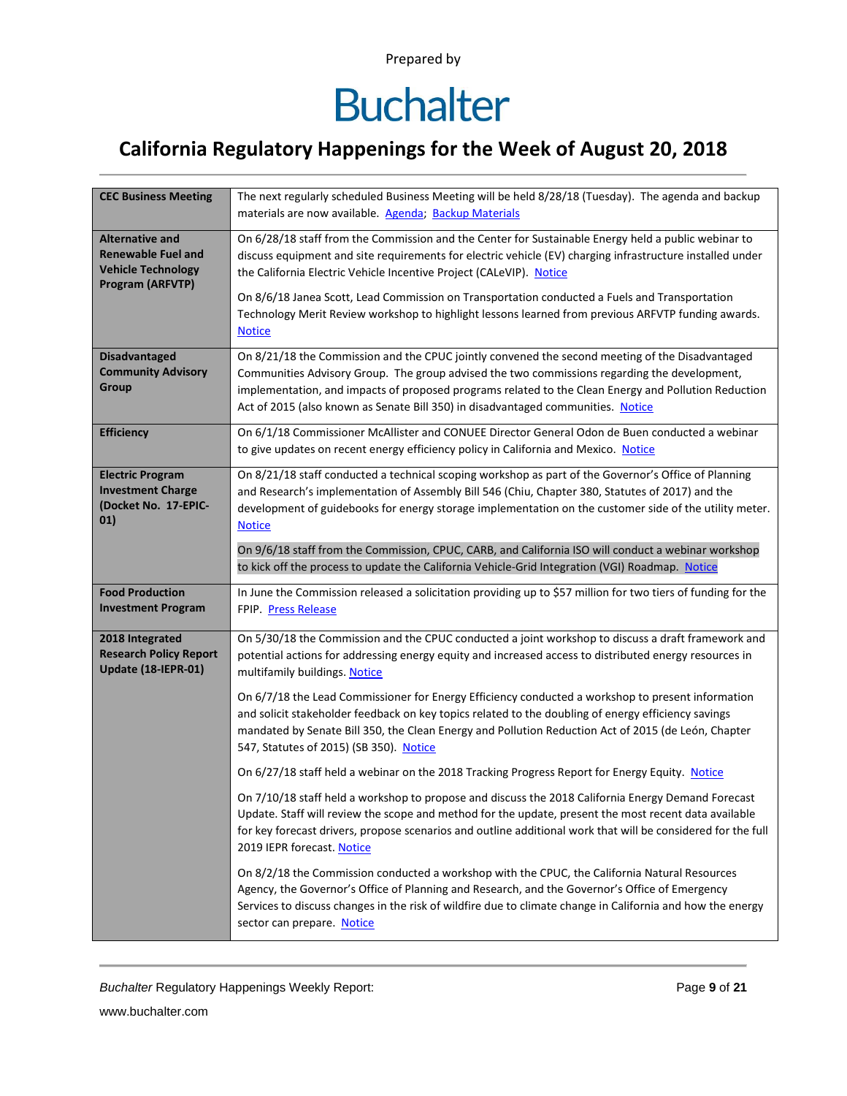# **Buchalter**

### **California Regulatory Happenings for the Week of August 20, 2018**

| <b>CEC Business Meeting</b>                         | The next regularly scheduled Business Meeting will be held 8/28/18 (Tuesday). The agenda and backup                                                                                                          |
|-----------------------------------------------------|--------------------------------------------------------------------------------------------------------------------------------------------------------------------------------------------------------------|
|                                                     | materials are now available. Agenda; Backup Materials                                                                                                                                                        |
| <b>Alternative and</b>                              | On 6/28/18 staff from the Commission and the Center for Sustainable Energy held a public webinar to                                                                                                          |
| <b>Renewable Fuel and</b>                           | discuss equipment and site requirements for electric vehicle (EV) charging infrastructure installed under                                                                                                    |
| <b>Vehicle Technology</b><br>Program (ARFVTP)       | the California Electric Vehicle Incentive Project (CALeVIP). Notice                                                                                                                                          |
|                                                     | On 8/6/18 Janea Scott, Lead Commission on Transportation conducted a Fuels and Transportation                                                                                                                |
|                                                     | Technology Merit Review workshop to highlight lessons learned from previous ARFVTP funding awards.                                                                                                           |
|                                                     | <b>Notice</b>                                                                                                                                                                                                |
| <b>Disadvantaged</b>                                | On 8/21/18 the Commission and the CPUC jointly convened the second meeting of the Disadvantaged                                                                                                              |
| <b>Community Advisory</b><br><b>Group</b>           | Communities Advisory Group. The group advised the two commissions regarding the development,                                                                                                                 |
|                                                     | implementation, and impacts of proposed programs related to the Clean Energy and Pollution Reduction<br>Act of 2015 (also known as Senate Bill 350) in disadvantaged communities. Notice                     |
|                                                     |                                                                                                                                                                                                              |
| <b>Efficiency</b>                                   | On 6/1/18 Commissioner McAllister and CONUEE Director General Odon de Buen conducted a webinar<br>to give updates on recent energy efficiency policy in California and Mexico. Notice                        |
|                                                     |                                                                                                                                                                                                              |
| <b>Electric Program</b><br><b>Investment Charge</b> | On 8/21/18 staff conducted a technical scoping workshop as part of the Governor's Office of Planning<br>and Research's implementation of Assembly Bill 546 (Chiu, Chapter 380, Statutes of 2017) and the     |
| (Docket No. 17-EPIC-                                | development of guidebooks for energy storage implementation on the customer side of the utility meter.                                                                                                       |
| 01)                                                 | <b>Notice</b>                                                                                                                                                                                                |
|                                                     | On 9/6/18 staff from the Commission, CPUC, CARB, and California ISO will conduct a webinar workshop                                                                                                          |
|                                                     | to kick off the process to update the California Vehicle-Grid Integration (VGI) Roadmap. Notice                                                                                                              |
| <b>Food Production</b>                              | In June the Commission released a solicitation providing up to \$57 million for two tiers of funding for the                                                                                                 |
| <b>Investment Program</b>                           | FPIP. Press Release                                                                                                                                                                                          |
| 2018 Integrated                                     | On 5/30/18 the Commission and the CPUC conducted a joint workshop to discuss a draft framework and                                                                                                           |
| <b>Research Policy Report</b>                       | potential actions for addressing energy equity and increased access to distributed energy resources in                                                                                                       |
| Update (18-IEPR-01)                                 | multifamily buildings. Notice                                                                                                                                                                                |
|                                                     | On 6/7/18 the Lead Commissioner for Energy Efficiency conducted a workshop to present information                                                                                                            |
|                                                     | and solicit stakeholder feedback on key topics related to the doubling of energy efficiency savings                                                                                                          |
|                                                     | mandated by Senate Bill 350, the Clean Energy and Pollution Reduction Act of 2015 (de León, Chapter                                                                                                          |
|                                                     | 547, Statutes of 2015) (SB 350). Notice                                                                                                                                                                      |
|                                                     | On 6/27/18 staff held a webinar on the 2018 Tracking Progress Report for Energy Equity. Notice                                                                                                               |
|                                                     | On 7/10/18 staff held a workshop to propose and discuss the 2018 California Energy Demand Forecast                                                                                                           |
|                                                     | Update. Staff will review the scope and method for the update, present the most recent data available                                                                                                        |
|                                                     | for key forecast drivers, propose scenarios and outline additional work that will be considered for the full                                                                                                 |
|                                                     | 2019 IEPR forecast. Notice                                                                                                                                                                                   |
|                                                     | On 8/2/18 the Commission conducted a workshop with the CPUC, the California Natural Resources                                                                                                                |
|                                                     | Agency, the Governor's Office of Planning and Research, and the Governor's Office of Emergency<br>Services to discuss changes in the risk of wildfire due to climate change in California and how the energy |
|                                                     | sector can prepare. Notice                                                                                                                                                                                   |
|                                                     |                                                                                                                                                                                                              |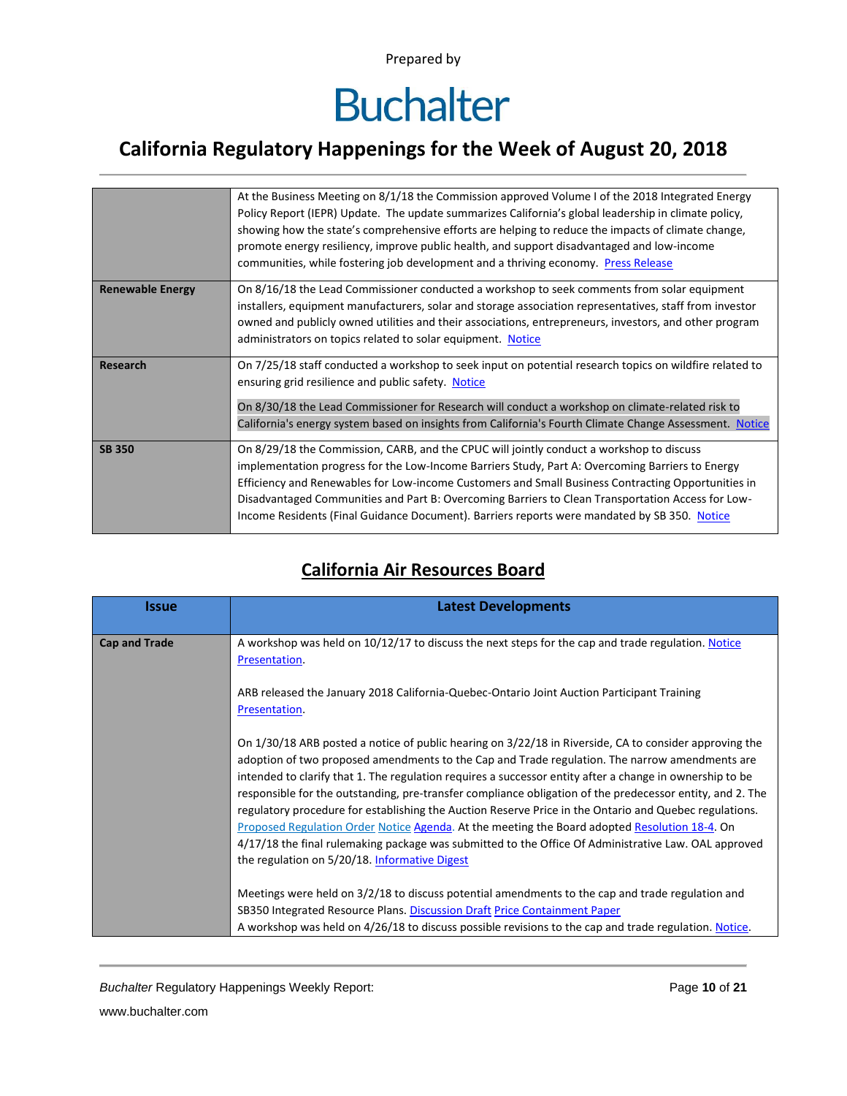# **Buchalter**

### **California Regulatory Happenings for the Week of August 20, 2018**

|                         | At the Business Meeting on 8/1/18 the Commission approved Volume I of the 2018 Integrated Energy<br>Policy Report (IEPR) Update. The update summarizes California's global leadership in climate policy,<br>showing how the state's comprehensive efforts are helping to reduce the impacts of climate change,<br>promote energy resiliency, improve public health, and support disadvantaged and low-income<br>communities, while fostering job development and a thriving economy. Press Release      |
|-------------------------|---------------------------------------------------------------------------------------------------------------------------------------------------------------------------------------------------------------------------------------------------------------------------------------------------------------------------------------------------------------------------------------------------------------------------------------------------------------------------------------------------------|
| <b>Renewable Energy</b> | On 8/16/18 the Lead Commissioner conducted a workshop to seek comments from solar equipment<br>installers, equipment manufacturers, solar and storage association representatives, staff from investor<br>owned and publicly owned utilities and their associations, entrepreneurs, investors, and other program<br>administrators on topics related to solar equipment. Notice                                                                                                                         |
| Research                | On 7/25/18 staff conducted a workshop to seek input on potential research topics on wildfire related to<br>ensuring grid resilience and public safety. Notice<br>On 8/30/18 the Lead Commissioner for Research will conduct a workshop on climate-related risk to<br>California's energy system based on insights from California's Fourth Climate Change Assessment. Notice                                                                                                                            |
| <b>SB 350</b>           | On 8/29/18 the Commission, CARB, and the CPUC will jointly conduct a workshop to discuss<br>implementation progress for the Low-Income Barriers Study, Part A: Overcoming Barriers to Energy<br>Efficiency and Renewables for Low-income Customers and Small Business Contracting Opportunities in<br>Disadvantaged Communities and Part B: Overcoming Barriers to Clean Transportation Access for Low-<br>Income Residents (Final Guidance Document). Barriers reports were mandated by SB 350. Notice |

#### **California Air Resources Board**

| <i><b>Issue</b></i>  | <b>Latest Developments</b>                                                                                                                                                                                                                                                                                                                                                                                                                                                                                                                                                                                                                                                                                                                                                                            |
|----------------------|-------------------------------------------------------------------------------------------------------------------------------------------------------------------------------------------------------------------------------------------------------------------------------------------------------------------------------------------------------------------------------------------------------------------------------------------------------------------------------------------------------------------------------------------------------------------------------------------------------------------------------------------------------------------------------------------------------------------------------------------------------------------------------------------------------|
| <b>Cap and Trade</b> | A workshop was held on 10/12/17 to discuss the next steps for the cap and trade regulation. Notice<br>Presentation.                                                                                                                                                                                                                                                                                                                                                                                                                                                                                                                                                                                                                                                                                   |
|                      | ARB released the January 2018 California-Quebec-Ontario Joint Auction Participant Training<br>Presentation.                                                                                                                                                                                                                                                                                                                                                                                                                                                                                                                                                                                                                                                                                           |
|                      | On 1/30/18 ARB posted a notice of public hearing on 3/22/18 in Riverside, CA to consider approving the<br>adoption of two proposed amendments to the Cap and Trade regulation. The narrow amendments are<br>intended to clarify that 1. The regulation requires a successor entity after a change in ownership to be<br>responsible for the outstanding, pre-transfer compliance obligation of the predecessor entity, and 2. The<br>regulatory procedure for establishing the Auction Reserve Price in the Ontario and Quebec regulations.<br>Proposed Regulation Order Notice Agenda. At the meeting the Board adopted Resolution 18-4. On<br>4/17/18 the final rulemaking package was submitted to the Office Of Administrative Law. OAL approved<br>the regulation on 5/20/18. Informative Digest |
|                      | Meetings were held on 3/2/18 to discuss potential amendments to the cap and trade regulation and<br>SB350 Integrated Resource Plans. Discussion Draft Price Containment Paper<br>A workshop was held on 4/26/18 to discuss possible revisions to the cap and trade regulation. Notice.                                                                                                                                                                                                                                                                                                                                                                                                                                                                                                                |

*Buchalter* Regulatory Happenings Weekly Report: Page **10** of **21**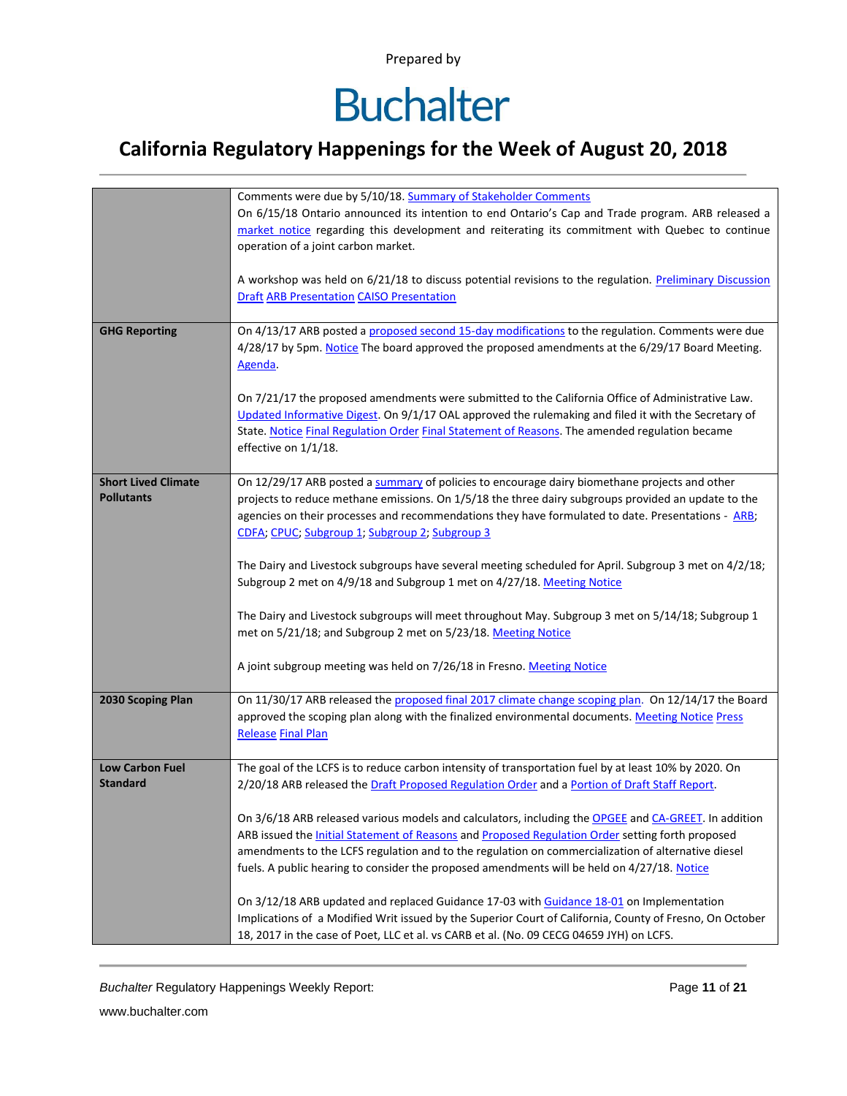# **Buchalter**

### **California Regulatory Happenings for the Week of August 20, 2018**

|                            | Comments were due by 5/10/18. Summary of Stakeholder Comments                                                  |
|----------------------------|----------------------------------------------------------------------------------------------------------------|
|                            | On 6/15/18 Ontario announced its intention to end Ontario's Cap and Trade program. ARB released a              |
|                            | market notice regarding this development and reiterating its commitment with Quebec to continue                |
|                            | operation of a joint carbon market.                                                                            |
|                            |                                                                                                                |
|                            | A workshop was held on 6/21/18 to discuss potential revisions to the regulation. Preliminary Discussion        |
|                            | <b>Draft ARB Presentation CAISO Presentation</b>                                                               |
|                            |                                                                                                                |
| <b>GHG Reporting</b>       | On 4/13/17 ARB posted a proposed second 15-day modifications to the regulation. Comments were due              |
|                            | 4/28/17 by 5pm. Notice The board approved the proposed amendments at the 6/29/17 Board Meeting.                |
|                            | Agenda.                                                                                                        |
|                            |                                                                                                                |
|                            |                                                                                                                |
|                            | On 7/21/17 the proposed amendments were submitted to the California Office of Administrative Law.              |
|                            | Updated Informative Digest. On 9/1/17 OAL approved the rulemaking and filed it with the Secretary of           |
|                            | State. Notice Final Regulation Order Final Statement of Reasons. The amended regulation became                 |
|                            | effective on 1/1/18.                                                                                           |
| <b>Short Lived Climate</b> | On 12/29/17 ARB posted a summary of policies to encourage dairy biomethane projects and other                  |
| <b>Pollutants</b>          | projects to reduce methane emissions. On 1/5/18 the three dairy subgroups provided an update to the            |
|                            |                                                                                                                |
|                            | agencies on their processes and recommendations they have formulated to date. Presentations - ARB;             |
|                            | CDFA; CPUC; Subgroup 1; Subgroup 2; Subgroup 3                                                                 |
|                            | The Dairy and Livestock subgroups have several meeting scheduled for April. Subgroup 3 met on 4/2/18;          |
|                            | Subgroup 2 met on 4/9/18 and Subgroup 1 met on 4/27/18. Meeting Notice                                         |
|                            |                                                                                                                |
|                            | The Dairy and Livestock subgroups will meet throughout May. Subgroup 3 met on 5/14/18; Subgroup 1              |
|                            | met on 5/21/18; and Subgroup 2 met on 5/23/18. Meeting Notice                                                  |
|                            |                                                                                                                |
|                            | A joint subgroup meeting was held on 7/26/18 in Fresno. Meeting Notice                                         |
|                            |                                                                                                                |
| 2030 Scoping Plan          | On 11/30/17 ARB released the proposed final 2017 climate change scoping plan. On 12/14/17 the Board            |
|                            | approved the scoping plan along with the finalized environmental documents. Meeting Notice Press               |
|                            | <b>Release Final Plan</b>                                                                                      |
|                            |                                                                                                                |
| <b>Low Carbon Fuel</b>     | The goal of the LCFS is to reduce carbon intensity of transportation fuel by at least 10% by 2020. On          |
| <b>Standard</b>            | 2/20/18 ARB released the Draft Proposed Regulation Order and a Portion of Draft Staff Report.                  |
|                            |                                                                                                                |
|                            | On 3/6/18 ARB released various models and calculators, including the OPGEE and CA-GREET. In addition           |
|                            | ARB issued the <b>Initial Statement of Reasons</b> and <b>Proposed Regulation Order</b> setting forth proposed |
|                            | amendments to the LCFS regulation and to the regulation on commercialization of alternative diesel             |
|                            | fuels. A public hearing to consider the proposed amendments will be held on 4/27/18. Notice                    |
|                            |                                                                                                                |
|                            | On 3/12/18 ARB updated and replaced Guidance 17-03 with Guidance 18-01 on Implementation                       |
|                            | Implications of a Modified Writ issued by the Superior Court of California, County of Fresno, On October       |
|                            | 18, 2017 in the case of Poet, LLC et al. vs CARB et al. (No. 09 CECG 04659 JYH) on LCFS.                       |
|                            |                                                                                                                |

*Buchalter* Regulatory Happenings Weekly Report: Page **11** of **21**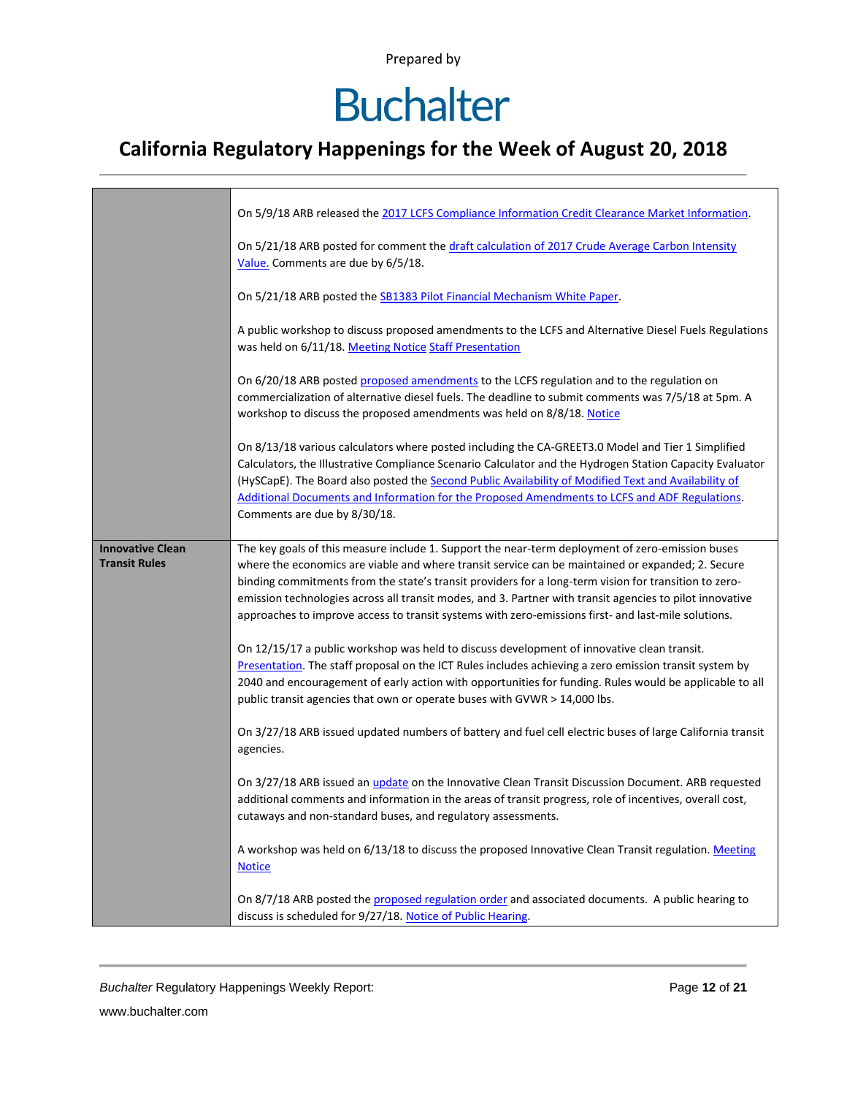# **Buchalter**

### **California Regulatory Happenings for the Week of August 20, 2018**

|                         | On 5/9/18 ARB released the 2017 LCFS Compliance Information Credit Clearance Market Information.                                                                                                                                                                                                                                                                                                                                                       |
|-------------------------|--------------------------------------------------------------------------------------------------------------------------------------------------------------------------------------------------------------------------------------------------------------------------------------------------------------------------------------------------------------------------------------------------------------------------------------------------------|
|                         | On 5/21/18 ARB posted for comment the draft calculation of 2017 Crude Average Carbon Intensity<br>Value. Comments are due by 6/5/18.                                                                                                                                                                                                                                                                                                                   |
|                         | On 5/21/18 ARB posted the SB1383 Pilot Financial Mechanism White Paper.                                                                                                                                                                                                                                                                                                                                                                                |
|                         | A public workshop to discuss proposed amendments to the LCFS and Alternative Diesel Fuels Regulations<br>was held on 6/11/18. Meeting Notice Staff Presentation                                                                                                                                                                                                                                                                                        |
|                         | On 6/20/18 ARB posted proposed amendments to the LCFS regulation and to the regulation on<br>commercialization of alternative diesel fuels. The deadline to submit comments was 7/5/18 at 5pm. A<br>workshop to discuss the proposed amendments was held on 8/8/18. Notice                                                                                                                                                                             |
|                         | On 8/13/18 various calculators where posted including the CA-GREET3.0 Model and Tier 1 Simplified<br>Calculators, the Illustrative Compliance Scenario Calculator and the Hydrogen Station Capacity Evaluator<br>(HySCapE). The Board also posted the Second Public Availability of Modified Text and Availability of<br>Additional Documents and Information for the Proposed Amendments to LCFS and ADF Regulations.<br>Comments are due by 8/30/18. |
| <b>Innovative Clean</b> | The key goals of this measure include 1. Support the near-term deployment of zero-emission buses                                                                                                                                                                                                                                                                                                                                                       |
| <b>Transit Rules</b>    | where the economics are viable and where transit service can be maintained or expanded; 2. Secure                                                                                                                                                                                                                                                                                                                                                      |
|                         | binding commitments from the state's transit providers for a long-term vision for transition to zero-                                                                                                                                                                                                                                                                                                                                                  |
|                         | emission technologies across all transit modes, and 3. Partner with transit agencies to pilot innovative<br>approaches to improve access to transit systems with zero-emissions first- and last-mile solutions.                                                                                                                                                                                                                                        |
|                         | On 12/15/17 a public workshop was held to discuss development of innovative clean transit.                                                                                                                                                                                                                                                                                                                                                             |
|                         | Presentation. The staff proposal on the ICT Rules includes achieving a zero emission transit system by                                                                                                                                                                                                                                                                                                                                                 |
|                         | 2040 and encouragement of early action with opportunities for funding. Rules would be applicable to all<br>public transit agencies that own or operate buses with GVWR > 14,000 lbs.                                                                                                                                                                                                                                                                   |
|                         | On 3/27/18 ARB issued updated numbers of battery and fuel cell electric buses of large California transit<br>agencies.                                                                                                                                                                                                                                                                                                                                 |
|                         | On 3/27/18 ARB issued an <i>update</i> on the Innovative Clean Transit Discussion Document. ARB requested                                                                                                                                                                                                                                                                                                                                              |
|                         | additional comments and information in the areas of transit progress, role of incentives, overall cost,<br>cutaways and non-standard buses, and regulatory assessments.                                                                                                                                                                                                                                                                                |
|                         | A workshop was held on 6/13/18 to discuss the proposed Innovative Clean Transit regulation. Meeting<br><b>Notice</b>                                                                                                                                                                                                                                                                                                                                   |
|                         | On 8/7/18 ARB posted the proposed regulation order and associated documents. A public hearing to<br>discuss is scheduled for 9/27/18. Notice of Public Hearing.                                                                                                                                                                                                                                                                                        |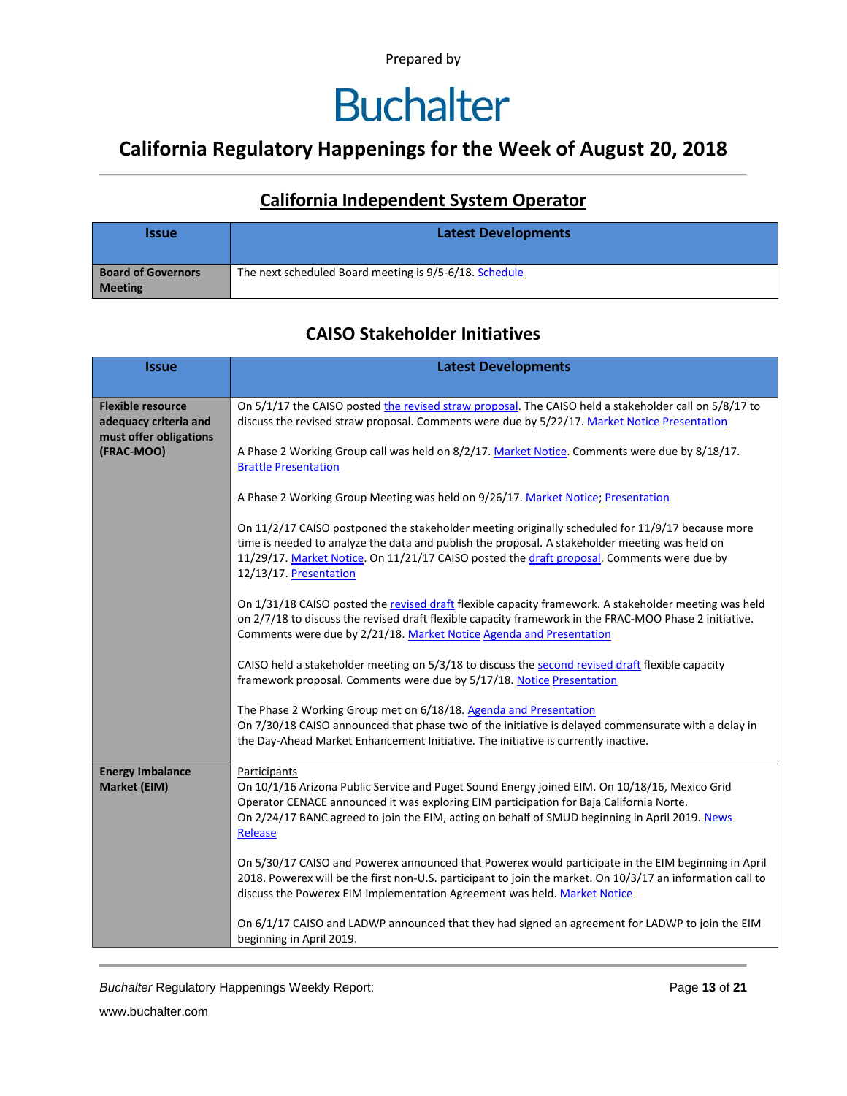### **Buchalter**

### **California Regulatory Happenings for the Week of August 20, 2018**

#### **California Independent System Operator**

| <b>Issue</b>                                | <b>Latest Developments</b>                             |  |  |  |  |
|---------------------------------------------|--------------------------------------------------------|--|--|--|--|
| <b>Board of Governors</b><br><b>Meeting</b> | The next scheduled Board meeting is 9/5-6/18. Schedule |  |  |  |  |

#### **CAISO Stakeholder Initiatives**

| <b>Issue</b>                                    | <b>Latest Developments</b>                                                                                                                                                                                                                                                                                                 |  |  |  |  |  |
|-------------------------------------------------|----------------------------------------------------------------------------------------------------------------------------------------------------------------------------------------------------------------------------------------------------------------------------------------------------------------------------|--|--|--|--|--|
| <b>Flexible resource</b>                        | On 5/1/17 the CAISO posted the revised straw proposal. The CAISO held a stakeholder call on 5/8/17 to                                                                                                                                                                                                                      |  |  |  |  |  |
| adequacy criteria and<br>must offer obligations | discuss the revised straw proposal. Comments were due by 5/22/17. Market Notice Presentation                                                                                                                                                                                                                               |  |  |  |  |  |
| (FRAC-MOO)                                      | A Phase 2 Working Group call was held on 8/2/17. Market Notice. Comments were due by 8/18/17.<br><b>Brattle Presentation</b>                                                                                                                                                                                               |  |  |  |  |  |
|                                                 | A Phase 2 Working Group Meeting was held on 9/26/17. Market Notice; Presentation                                                                                                                                                                                                                                           |  |  |  |  |  |
|                                                 | On 11/2/17 CAISO postponed the stakeholder meeting originally scheduled for 11/9/17 because more<br>time is needed to analyze the data and publish the proposal. A stakeholder meeting was held on<br>11/29/17. Market Notice. On 11/21/17 CAISO posted the draft proposal. Comments were due by<br>12/13/17. Presentation |  |  |  |  |  |
|                                                 | On 1/31/18 CAISO posted the revised draft flexible capacity framework. A stakeholder meeting was held<br>on 2/7/18 to discuss the revised draft flexible capacity framework in the FRAC-MOO Phase 2 initiative.<br>Comments were due by 2/21/18. Market Notice Agenda and Presentation                                     |  |  |  |  |  |
|                                                 | CAISO held a stakeholder meeting on 5/3/18 to discuss the second revised draft flexible capacity<br>framework proposal. Comments were due by 5/17/18. Notice Presentation                                                                                                                                                  |  |  |  |  |  |
|                                                 | The Phase 2 Working Group met on 6/18/18. Agenda and Presentation<br>On 7/30/18 CAISO announced that phase two of the initiative is delayed commensurate with a delay in<br>the Day-Ahead Market Enhancement Initiative. The initiative is currently inactive.                                                             |  |  |  |  |  |
| <b>Energy Imbalance</b><br>Market (EIM)         | Participants<br>On 10/1/16 Arizona Public Service and Puget Sound Energy joined EIM. On 10/18/16, Mexico Grid<br>Operator CENACE announced it was exploring EIM participation for Baja California Norte.<br>On 2/24/17 BANC agreed to join the EIM, acting on behalf of SMUD beginning in April 2019. News<br>Release      |  |  |  |  |  |
|                                                 | On 5/30/17 CAISO and Powerex announced that Powerex would participate in the EIM beginning in April<br>2018. Powerex will be the first non-U.S. participant to join the market. On 10/3/17 an information call to<br>discuss the Powerex EIM Implementation Agreement was held. Market Notice                              |  |  |  |  |  |
|                                                 | On 6/1/17 CAISO and LADWP announced that they had signed an agreement for LADWP to join the EIM<br>beginning in April 2019.                                                                                                                                                                                                |  |  |  |  |  |

**Buchalter Regulatory Happenings Weekly Report:** Page 13 of 21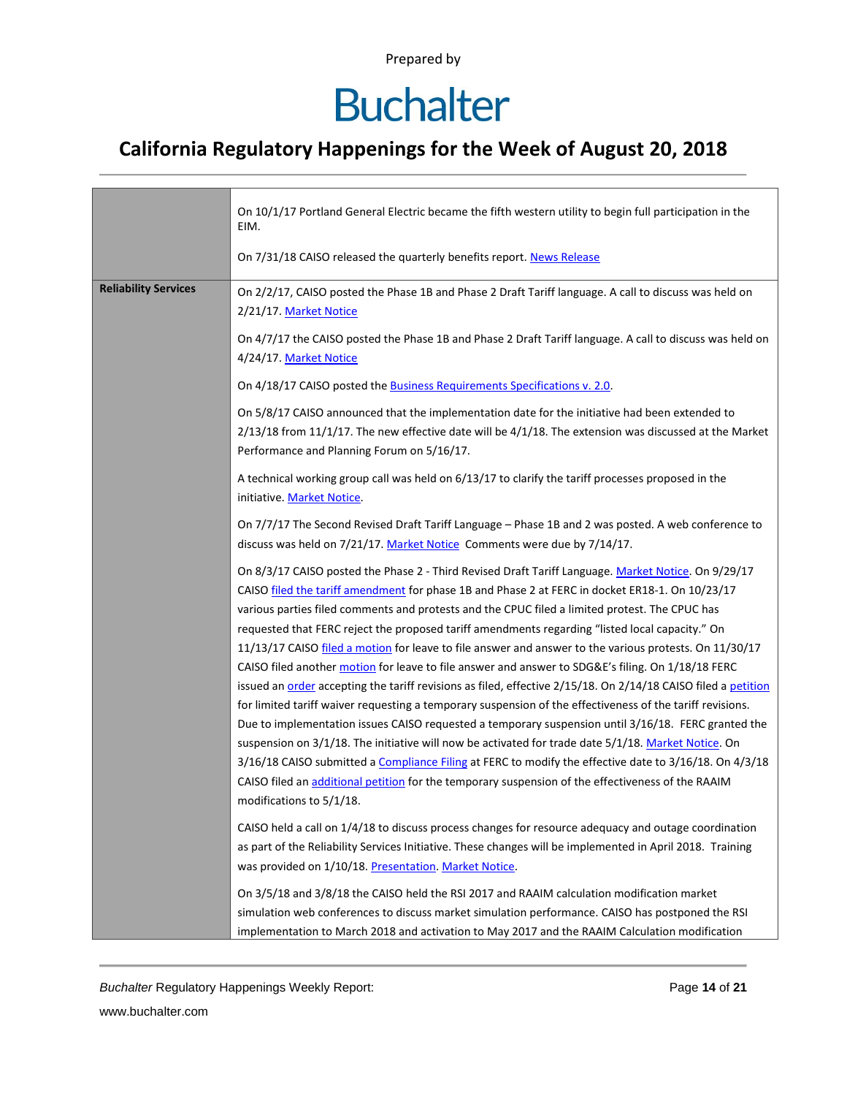# **Buchalter**

### **California Regulatory Happenings for the Week of August 20, 2018**

|                                                                                                                                                                                                                  | On 10/1/17 Portland General Electric became the fifth western utility to begin full participation in the<br>EIM.<br>On 7/31/18 CAISO released the quarterly benefits report. News Release                                                                   |  |  |  |  |
|------------------------------------------------------------------------------------------------------------------------------------------------------------------------------------------------------------------|-------------------------------------------------------------------------------------------------------------------------------------------------------------------------------------------------------------------------------------------------------------|--|--|--|--|
|                                                                                                                                                                                                                  |                                                                                                                                                                                                                                                             |  |  |  |  |
| <b>Reliability Services</b>                                                                                                                                                                                      | On 2/2/17, CAISO posted the Phase 1B and Phase 2 Draft Tariff language. A call to discuss was held on<br>2/21/17. Market Notice                                                                                                                             |  |  |  |  |
|                                                                                                                                                                                                                  | On 4/7/17 the CAISO posted the Phase 1B and Phase 2 Draft Tariff language. A call to discuss was held on<br>4/24/17. Market Notice                                                                                                                          |  |  |  |  |
|                                                                                                                                                                                                                  | On 4/18/17 CAISO posted the <b>Business Requirements Specifications v. 2.0</b> .                                                                                                                                                                            |  |  |  |  |
|                                                                                                                                                                                                                  | On 5/8/17 CAISO announced that the implementation date for the initiative had been extended to<br>$2/13/18$ from 11/1/17. The new effective date will be $4/1/18$ . The extension was discussed at the Market<br>Performance and Planning Forum on 5/16/17. |  |  |  |  |
|                                                                                                                                                                                                                  | A technical working group call was held on 6/13/17 to clarify the tariff processes proposed in the<br>initiative. Market Notice.                                                                                                                            |  |  |  |  |
|                                                                                                                                                                                                                  | On 7/7/17 The Second Revised Draft Tariff Language - Phase 1B and 2 was posted. A web conference to<br>discuss was held on 7/21/17. Market Notice Comments were due by 7/14/17.                                                                             |  |  |  |  |
|                                                                                                                                                                                                                  | On 8/3/17 CAISO posted the Phase 2 - Third Revised Draft Tariff Language. Market Notice. On 9/29/17<br>CAISO filed the tariff amendment for phase 1B and Phase 2 at FERC in docket ER18-1. On 10/23/17                                                      |  |  |  |  |
|                                                                                                                                                                                                                  | various parties filed comments and protests and the CPUC filed a limited protest. The CPUC has                                                                                                                                                              |  |  |  |  |
|                                                                                                                                                                                                                  | requested that FERC reject the proposed tariff amendments regarding "listed local capacity." On<br>11/13/17 CAISO filed a motion for leave to file answer and answer to the various protests. On 11/30/17                                                   |  |  |  |  |
|                                                                                                                                                                                                                  | CAISO filed another motion for leave to file answer and answer to SDG&E's filing. On 1/18/18 FERC                                                                                                                                                           |  |  |  |  |
|                                                                                                                                                                                                                  | issued an order accepting the tariff revisions as filed, effective 2/15/18. On 2/14/18 CAISO filed a petition                                                                                                                                               |  |  |  |  |
| for limited tariff waiver requesting a temporary suspension of the effectiveness of the tariff revisions.<br>Due to implementation issues CAISO requested a temporary suspension until 3/16/18. FERC granted the |                                                                                                                                                                                                                                                             |  |  |  |  |
| suspension on 3/1/18. The initiative will now be activated for trade date 5/1/18. Market Notice. On<br>3/16/18 CAISO submitted a Compliance Filing at FERC to modify the effective date to 3/16/18. On 4/3/18    |                                                                                                                                                                                                                                                             |  |  |  |  |
|                                                                                                                                                                                                                  |                                                                                                                                                                                                                                                             |  |  |  |  |
|                                                                                                                                                                                                                  | CAISO held a call on 1/4/18 to discuss process changes for resource adequacy and outage coordination                                                                                                                                                        |  |  |  |  |
|                                                                                                                                                                                                                  | as part of the Reliability Services Initiative. These changes will be implemented in April 2018. Training                                                                                                                                                   |  |  |  |  |
|                                                                                                                                                                                                                  | was provided on 1/10/18. Presentation. Market Notice.                                                                                                                                                                                                       |  |  |  |  |
|                                                                                                                                                                                                                  | On 3/5/18 and 3/8/18 the CAISO held the RSI 2017 and RAAIM calculation modification market                                                                                                                                                                  |  |  |  |  |
|                                                                                                                                                                                                                  | simulation web conferences to discuss market simulation performance. CAISO has postponed the RSI<br>implementation to March 2018 and activation to May 2017 and the RAAIM Calculation modification                                                          |  |  |  |  |

*Buchalter* Regulatory Happenings Weekly Report: Page **14** of **21**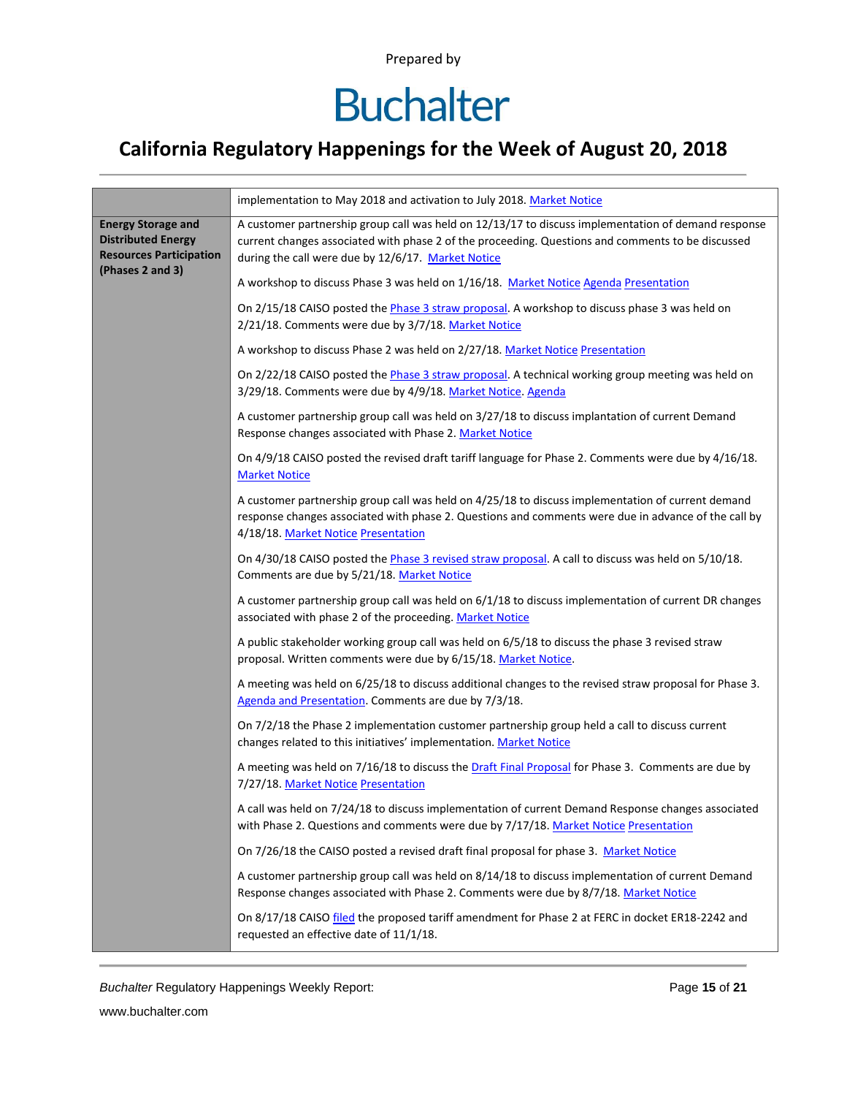# **Buchalter**

### **California Regulatory Happenings for the Week of August 20, 2018**

|                                                                                                              | implementation to May 2018 and activation to July 2018. Market Notice                                                                                                                                                                                          |  |  |  |  |
|--------------------------------------------------------------------------------------------------------------|----------------------------------------------------------------------------------------------------------------------------------------------------------------------------------------------------------------------------------------------------------------|--|--|--|--|
| <b>Energy Storage and</b><br><b>Distributed Energy</b><br><b>Resources Participation</b><br>(Phases 2 and 3) | A customer partnership group call was held on 12/13/17 to discuss implementation of demand response<br>current changes associated with phase 2 of the proceeding. Questions and comments to be discussed<br>during the call were due by 12/6/17. Market Notice |  |  |  |  |
|                                                                                                              | A workshop to discuss Phase 3 was held on 1/16/18. Market Notice Agenda Presentation                                                                                                                                                                           |  |  |  |  |
|                                                                                                              | On 2/15/18 CAISO posted the Phase 3 straw proposal. A workshop to discuss phase 3 was held on<br>2/21/18. Comments were due by 3/7/18. Market Notice                                                                                                           |  |  |  |  |
|                                                                                                              | A workshop to discuss Phase 2 was held on 2/27/18. Market Notice Presentation                                                                                                                                                                                  |  |  |  |  |
|                                                                                                              | On 2/22/18 CAISO posted the Phase 3 straw proposal. A technical working group meeting was held on<br>3/29/18. Comments were due by 4/9/18. Market Notice. Agenda                                                                                               |  |  |  |  |
|                                                                                                              | A customer partnership group call was held on 3/27/18 to discuss implantation of current Demand<br>Response changes associated with Phase 2. Market Notice                                                                                                     |  |  |  |  |
|                                                                                                              | On 4/9/18 CAISO posted the revised draft tariff language for Phase 2. Comments were due by 4/16/18.<br><b>Market Notice</b>                                                                                                                                    |  |  |  |  |
|                                                                                                              | A customer partnership group call was held on 4/25/18 to discuss implementation of current demand<br>response changes associated with phase 2. Questions and comments were due in advance of the call by<br>4/18/18. Market Notice Presentation                |  |  |  |  |
|                                                                                                              | On 4/30/18 CAISO posted the Phase 3 revised straw proposal. A call to discuss was held on 5/10/18.<br>Comments are due by 5/21/18. Market Notice                                                                                                               |  |  |  |  |
|                                                                                                              | A customer partnership group call was held on 6/1/18 to discuss implementation of current DR changes<br>associated with phase 2 of the proceeding. Market Notice                                                                                               |  |  |  |  |
|                                                                                                              | A public stakeholder working group call was held on 6/5/18 to discuss the phase 3 revised straw<br>proposal. Written comments were due by 6/15/18. Market Notice.                                                                                              |  |  |  |  |
|                                                                                                              | A meeting was held on 6/25/18 to discuss additional changes to the revised straw proposal for Phase 3.<br>Agenda and Presentation. Comments are due by 7/3/18.                                                                                                 |  |  |  |  |
|                                                                                                              | On 7/2/18 the Phase 2 implementation customer partnership group held a call to discuss current<br>changes related to this initiatives' implementation. Market Notice                                                                                           |  |  |  |  |
|                                                                                                              | A meeting was held on 7/16/18 to discuss the Draft Final Proposal for Phase 3. Comments are due by<br>7/27/18. Market Notice Presentation                                                                                                                      |  |  |  |  |
|                                                                                                              | A call was held on 7/24/18 to discuss implementation of current Demand Response changes associated<br>with Phase 2. Questions and comments were due by 7/17/18. Market Notice Presentation                                                                     |  |  |  |  |
|                                                                                                              | On 7/26/18 the CAISO posted a revised draft final proposal for phase 3. Market Notice                                                                                                                                                                          |  |  |  |  |
|                                                                                                              | A customer partnership group call was held on 8/14/18 to discuss implementation of current Demand<br>Response changes associated with Phase 2. Comments were due by 8/7/18. Market Notice                                                                      |  |  |  |  |
|                                                                                                              | On 8/17/18 CAISO filed the proposed tariff amendment for Phase 2 at FERC in docket ER18-2242 and<br>requested an effective date of 11/1/18.                                                                                                                    |  |  |  |  |

*Buchalter* Regulatory Happenings Weekly Report: Page **15** of **21**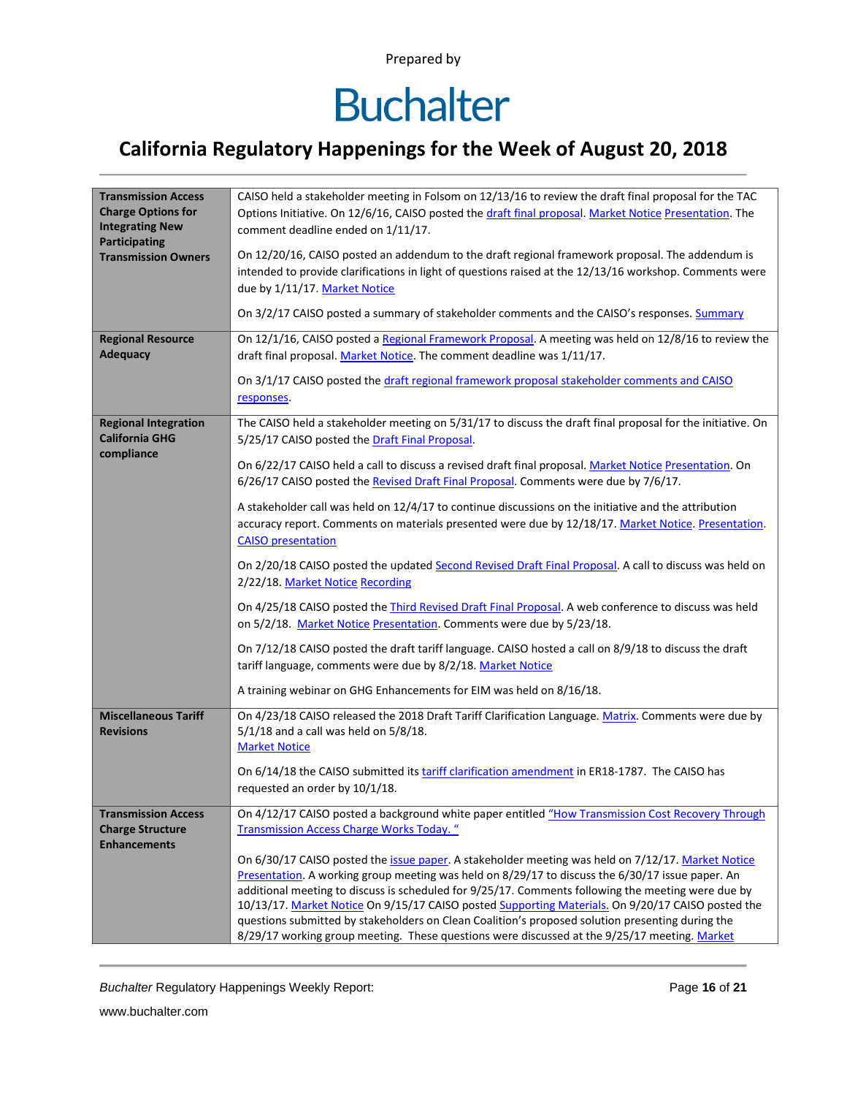### **California Regulatory Happenings for the Week of August 20, 2018**

| <b>Transmission Access</b><br><b>Charge Options for</b><br><b>Integrating New</b><br><b>Participating</b><br><b>Transmission Owners</b><br><b>Regional Resource</b> | CAISO held a stakeholder meeting in Folsom on 12/13/16 to review the draft final proposal for the TAC<br>Options Initiative. On 12/6/16, CAISO posted the draft final proposal. Market Notice Presentation. The<br>comment deadline ended on 1/11/17.<br>On 12/20/16, CAISO posted an addendum to the draft regional framework proposal. The addendum is<br>intended to provide clarifications in light of questions raised at the 12/13/16 workshop. Comments were<br>due by 1/11/17. Market Notice<br>On 3/2/17 CAISO posted a summary of stakeholder comments and the CAISO's responses. Summary<br>On 12/1/16, CAISO posted a Regional Framework Proposal. A meeting was held on 12/8/16 to review the                                                                                                                                                                                                                                                                                                                                                                                                                                                                                     |  |  |  |  |  |
|---------------------------------------------------------------------------------------------------------------------------------------------------------------------|------------------------------------------------------------------------------------------------------------------------------------------------------------------------------------------------------------------------------------------------------------------------------------------------------------------------------------------------------------------------------------------------------------------------------------------------------------------------------------------------------------------------------------------------------------------------------------------------------------------------------------------------------------------------------------------------------------------------------------------------------------------------------------------------------------------------------------------------------------------------------------------------------------------------------------------------------------------------------------------------------------------------------------------------------------------------------------------------------------------------------------------------------------------------------------------------|--|--|--|--|--|
| <b>Adequacy</b>                                                                                                                                                     | draft final proposal. Market Notice. The comment deadline was 1/11/17.<br>On 3/1/17 CAISO posted the draft regional framework proposal stakeholder comments and CAISO<br>responses.                                                                                                                                                                                                                                                                                                                                                                                                                                                                                                                                                                                                                                                                                                                                                                                                                                                                                                                                                                                                            |  |  |  |  |  |
| <b>Regional Integration</b><br><b>California GHG</b><br>compliance                                                                                                  | The CAISO held a stakeholder meeting on 5/31/17 to discuss the draft final proposal for the initiative. On<br>5/25/17 CAISO posted the Draft Final Proposal.<br>On 6/22/17 CAISO held a call to discuss a revised draft final proposal. Market Notice Presentation. On<br>6/26/17 CAISO posted the Revised Draft Final Proposal. Comments were due by 7/6/17.<br>A stakeholder call was held on 12/4/17 to continue discussions on the initiative and the attribution<br>accuracy report. Comments on materials presented were due by 12/18/17. Market Notice. Presentation.<br><b>CAISO</b> presentation<br>On 2/20/18 CAISO posted the updated Second Revised Draft Final Proposal. A call to discuss was held on<br>2/22/18. Market Notice Recording<br>On 4/25/18 CAISO posted the <i>Third Revised Draft Final Proposal</i> . A web conference to discuss was held<br>on 5/2/18. Market Notice Presentation. Comments were due by 5/23/18.<br>On 7/12/18 CAISO posted the draft tariff language. CAISO hosted a call on 8/9/18 to discuss the draft<br>tariff language, comments were due by 8/2/18. Market Notice<br>A training webinar on GHG Enhancements for EIM was held on 8/16/18. |  |  |  |  |  |
| <b>Miscellaneous Tariff</b><br><b>Revisions</b>                                                                                                                     | On 4/23/18 CAISO released the 2018 Draft Tariff Clarification Language. Matrix. Comments were due by<br>$5/1/18$ and a call was held on $5/8/18$ .<br><b>Market Notice</b><br>On 6/14/18 the CAISO submitted its tariff clarification amendment in ER18-1787. The CAISO has<br>requested an order by 10/1/18.                                                                                                                                                                                                                                                                                                                                                                                                                                                                                                                                                                                                                                                                                                                                                                                                                                                                                  |  |  |  |  |  |
| <b>Transmission Access</b><br><b>Charge Structure</b><br><b>Enhancements</b>                                                                                        | On 4/12/17 CAISO posted a background white paper entitled "How Transmission Cost Recovery Through<br><b>Transmission Access Charge Works Today.</b> "<br>On 6/30/17 CAISO posted the issue paper. A stakeholder meeting was held on 7/12/17. Market Notice<br>Presentation. A working group meeting was held on 8/29/17 to discuss the 6/30/17 issue paper. An<br>additional meeting to discuss is scheduled for 9/25/17. Comments following the meeting were due by<br>10/13/17. Market Notice On 9/15/17 CAISO posted Supporting Materials. On 9/20/17 CAISO posted the<br>questions submitted by stakeholders on Clean Coalition's proposed solution presenting during the<br>8/29/17 working group meeting. These questions were discussed at the 9/25/17 meeting. Market                                                                                                                                                                                                                                                                                                                                                                                                                  |  |  |  |  |  |

*Buchalter* Regulatory Happenings Weekly Report: Page **16** of **21**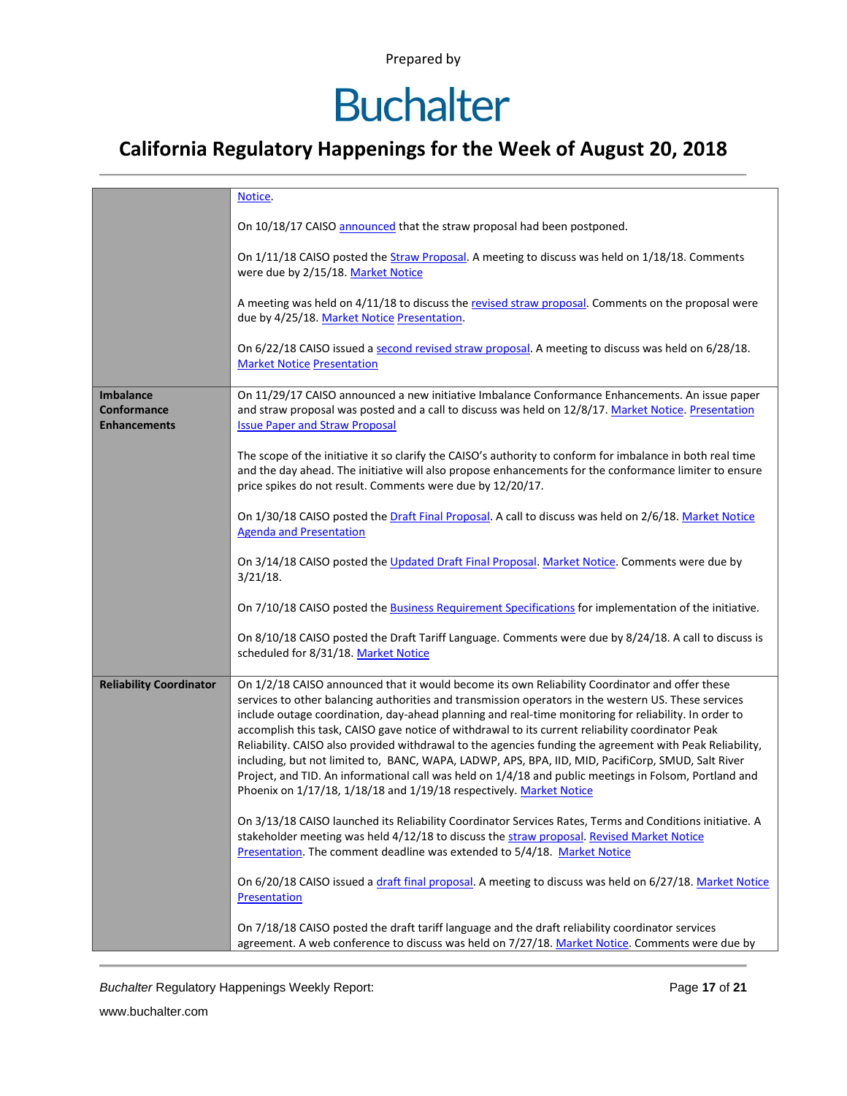# **Buchalter**

### **California Regulatory Happenings for the Week of August 20, 2018**

|                                                               | Notice.                                                                                                                                                                                                                                                                                                                                                                                                                                                                                                                                                                                                                                                                                                                                                                                                                 |  |  |  |  |  |
|---------------------------------------------------------------|-------------------------------------------------------------------------------------------------------------------------------------------------------------------------------------------------------------------------------------------------------------------------------------------------------------------------------------------------------------------------------------------------------------------------------------------------------------------------------------------------------------------------------------------------------------------------------------------------------------------------------------------------------------------------------------------------------------------------------------------------------------------------------------------------------------------------|--|--|--|--|--|
|                                                               | On 10/18/17 CAISO announced that the straw proposal had been postponed.                                                                                                                                                                                                                                                                                                                                                                                                                                                                                                                                                                                                                                                                                                                                                 |  |  |  |  |  |
|                                                               | On 1/11/18 CAISO posted the Straw Proposal. A meeting to discuss was held on 1/18/18. Comments<br>were due by 2/15/18. Market Notice                                                                                                                                                                                                                                                                                                                                                                                                                                                                                                                                                                                                                                                                                    |  |  |  |  |  |
|                                                               | A meeting was held on 4/11/18 to discuss the revised straw proposal. Comments on the proposal were<br>due by 4/25/18. Market Notice Presentation.                                                                                                                                                                                                                                                                                                                                                                                                                                                                                                                                                                                                                                                                       |  |  |  |  |  |
|                                                               | On 6/22/18 CAISO issued a second revised straw proposal. A meeting to discuss was held on 6/28/18.<br><b>Market Notice Presentation</b>                                                                                                                                                                                                                                                                                                                                                                                                                                                                                                                                                                                                                                                                                 |  |  |  |  |  |
| <b>Imbalance</b><br><b>Conformance</b><br><b>Enhancements</b> | On 11/29/17 CAISO announced a new initiative Imbalance Conformance Enhancements. An issue paper<br>and straw proposal was posted and a call to discuss was held on 12/8/17. Market Notice. Presentation<br><b>Issue Paper and Straw Proposal</b>                                                                                                                                                                                                                                                                                                                                                                                                                                                                                                                                                                        |  |  |  |  |  |
|                                                               | The scope of the initiative it so clarify the CAISO's authority to conform for imbalance in both real time<br>and the day ahead. The initiative will also propose enhancements for the conformance limiter to ensure<br>price spikes do not result. Comments were due by 12/20/17.                                                                                                                                                                                                                                                                                                                                                                                                                                                                                                                                      |  |  |  |  |  |
|                                                               | On 1/30/18 CAISO posted the Draft Final Proposal. A call to discuss was held on 2/6/18. Market Notice<br><b>Agenda and Presentation</b>                                                                                                                                                                                                                                                                                                                                                                                                                                                                                                                                                                                                                                                                                 |  |  |  |  |  |
|                                                               | On 3/14/18 CAISO posted the Updated Draft Final Proposal. Market Notice. Comments were due by<br>$3/21/18$ .                                                                                                                                                                                                                                                                                                                                                                                                                                                                                                                                                                                                                                                                                                            |  |  |  |  |  |
|                                                               | On 7/10/18 CAISO posted the Business Requirement Specifications for implementation of the initiative.                                                                                                                                                                                                                                                                                                                                                                                                                                                                                                                                                                                                                                                                                                                   |  |  |  |  |  |
|                                                               | On 8/10/18 CAISO posted the Draft Tariff Language. Comments were due by 8/24/18. A call to discuss is<br>scheduled for 8/31/18. Market Notice                                                                                                                                                                                                                                                                                                                                                                                                                                                                                                                                                                                                                                                                           |  |  |  |  |  |
| <b>Reliability Coordinator</b>                                | On 1/2/18 CAISO announced that it would become its own Reliability Coordinator and offer these<br>services to other balancing authorities and transmission operators in the western US. These services<br>include outage coordination, day-ahead planning and real-time monitoring for reliability. In order to<br>accomplish this task, CAISO gave notice of withdrawal to its current reliability coordinator Peak<br>Reliability. CAISO also provided withdrawal to the agencies funding the agreement with Peak Reliability,<br>including, but not limited to, BANC, WAPA, LADWP, APS, BPA, IID, MID, PacifiCorp, SMUD, Salt River<br>Project, and TID. An informational call was held on 1/4/18 and public meetings in Folsom, Portland and<br>Phoenix on 1/17/18, 1/18/18 and 1/19/18 respectively. Market Notice |  |  |  |  |  |
|                                                               | On 3/13/18 CAISO launched its Reliability Coordinator Services Rates, Terms and Conditions initiative. A<br>stakeholder meeting was held 4/12/18 to discuss the straw proposal. Revised Market Notice<br>Presentation. The comment deadline was extended to 5/4/18. Market Notice                                                                                                                                                                                                                                                                                                                                                                                                                                                                                                                                       |  |  |  |  |  |
|                                                               | On 6/20/18 CAISO issued a draft final proposal. A meeting to discuss was held on 6/27/18. Market Notice<br>Presentation                                                                                                                                                                                                                                                                                                                                                                                                                                                                                                                                                                                                                                                                                                 |  |  |  |  |  |
|                                                               | On 7/18/18 CAISO posted the draft tariff language and the draft reliability coordinator services<br>agreement. A web conference to discuss was held on 7/27/18. Market Notice. Comments were due by                                                                                                                                                                                                                                                                                                                                                                                                                                                                                                                                                                                                                     |  |  |  |  |  |

**Buchalter Regulatory Happenings Weekly Report:** Page 17 of 21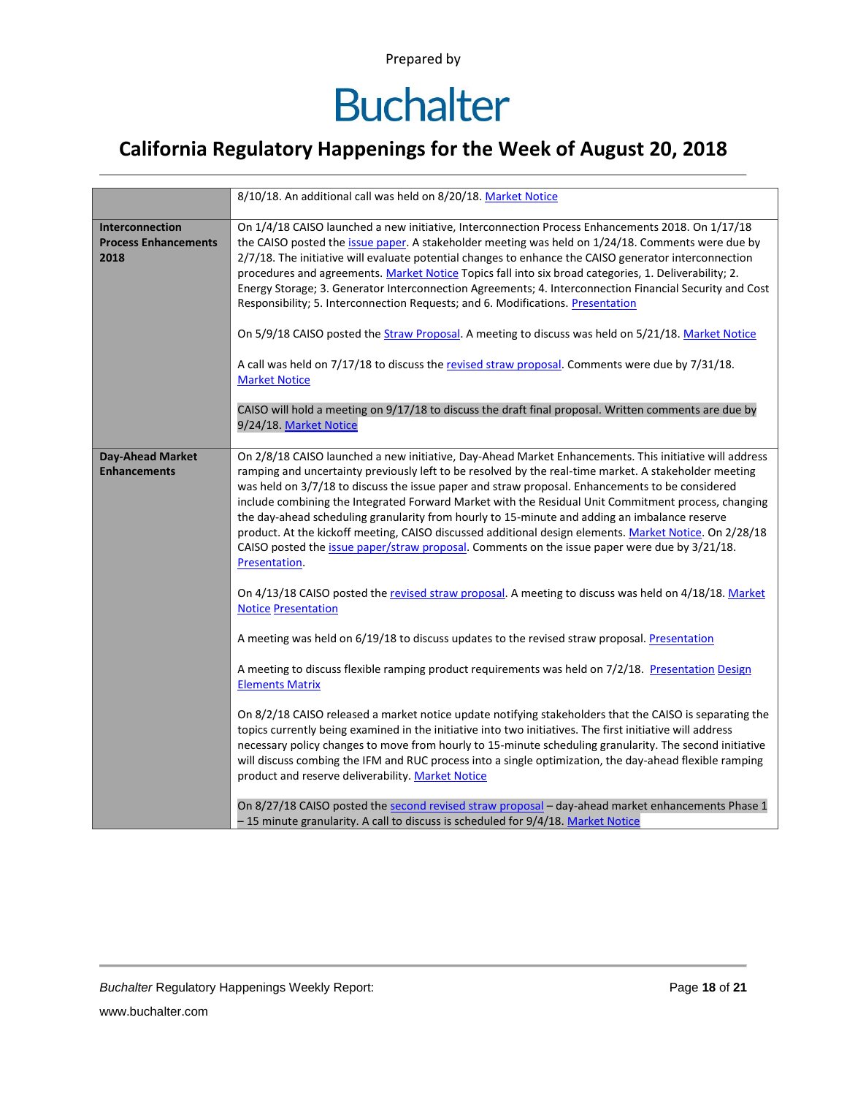### **California Regulatory Happenings for the Week of August 20, 2018**

|                                                        | 8/10/18. An additional call was held on 8/20/18. Market Notice                                                                                                                                                                                                                                                                                                                                                                                                                                                                                                                                                                                                                                                                                         |  |  |  |  |  |  |
|--------------------------------------------------------|--------------------------------------------------------------------------------------------------------------------------------------------------------------------------------------------------------------------------------------------------------------------------------------------------------------------------------------------------------------------------------------------------------------------------------------------------------------------------------------------------------------------------------------------------------------------------------------------------------------------------------------------------------------------------------------------------------------------------------------------------------|--|--|--|--|--|--|
| Interconnection<br><b>Process Enhancements</b><br>2018 | On 1/4/18 CAISO launched a new initiative, Interconnection Process Enhancements 2018. On 1/17/18<br>the CAISO posted the issue paper. A stakeholder meeting was held on 1/24/18. Comments were due by<br>2/7/18. The initiative will evaluate potential changes to enhance the CAISO generator interconnection<br>procedures and agreements. Market Notice Topics fall into six broad categories, 1. Deliverability; 2.<br>Energy Storage; 3. Generator Interconnection Agreements; 4. Interconnection Financial Security and Cost<br>Responsibility; 5. Interconnection Requests; and 6. Modifications. Presentation                                                                                                                                  |  |  |  |  |  |  |
|                                                        | On 5/9/18 CAISO posted the Straw Proposal. A meeting to discuss was held on 5/21/18. Market Notice                                                                                                                                                                                                                                                                                                                                                                                                                                                                                                                                                                                                                                                     |  |  |  |  |  |  |
|                                                        | A call was held on 7/17/18 to discuss the revised straw proposal. Comments were due by 7/31/18.<br><b>Market Notice</b>                                                                                                                                                                                                                                                                                                                                                                                                                                                                                                                                                                                                                                |  |  |  |  |  |  |
|                                                        | CAISO will hold a meeting on 9/17/18 to discuss the draft final proposal. Written comments are due by<br>9/24/18. Market Notice                                                                                                                                                                                                                                                                                                                                                                                                                                                                                                                                                                                                                        |  |  |  |  |  |  |
| <b>Day-Ahead Market</b><br><b>Enhancements</b>         | On 2/8/18 CAISO launched a new initiative, Day-Ahead Market Enhancements. This initiative will address<br>ramping and uncertainty previously left to be resolved by the real-time market. A stakeholder meeting<br>was held on 3/7/18 to discuss the issue paper and straw proposal. Enhancements to be considered<br>include combining the Integrated Forward Market with the Residual Unit Commitment process, changing<br>the day-ahead scheduling granularity from hourly to 15-minute and adding an imbalance reserve<br>product. At the kickoff meeting, CAISO discussed additional design elements. Market Notice. On 2/28/18<br>CAISO posted the issue paper/straw proposal. Comments on the issue paper were due by 3/21/18.<br>Presentation. |  |  |  |  |  |  |
|                                                        | On 4/13/18 CAISO posted the revised straw proposal. A meeting to discuss was held on 4/18/18. Market<br><b>Notice Presentation</b>                                                                                                                                                                                                                                                                                                                                                                                                                                                                                                                                                                                                                     |  |  |  |  |  |  |
|                                                        | A meeting was held on 6/19/18 to discuss updates to the revised straw proposal. Presentation                                                                                                                                                                                                                                                                                                                                                                                                                                                                                                                                                                                                                                                           |  |  |  |  |  |  |
|                                                        | A meeting to discuss flexible ramping product requirements was held on 7/2/18. Presentation Design<br><b>Elements Matrix</b>                                                                                                                                                                                                                                                                                                                                                                                                                                                                                                                                                                                                                           |  |  |  |  |  |  |
|                                                        | On 8/2/18 CAISO released a market notice update notifying stakeholders that the CAISO is separating the<br>topics currently being examined in the initiative into two initiatives. The first initiative will address<br>necessary policy changes to move from hourly to 15-minute scheduling granularity. The second initiative<br>will discuss combing the IFM and RUC process into a single optimization, the day-ahead flexible ramping<br>product and reserve deliverability. Market Notice                                                                                                                                                                                                                                                        |  |  |  |  |  |  |
|                                                        | On 8/27/18 CAISO posted the second revised straw proposal – day-ahead market enhancements Phase 1<br>-15 minute granularity. A call to discuss is scheduled for 9/4/18. Market Notice                                                                                                                                                                                                                                                                                                                                                                                                                                                                                                                                                                  |  |  |  |  |  |  |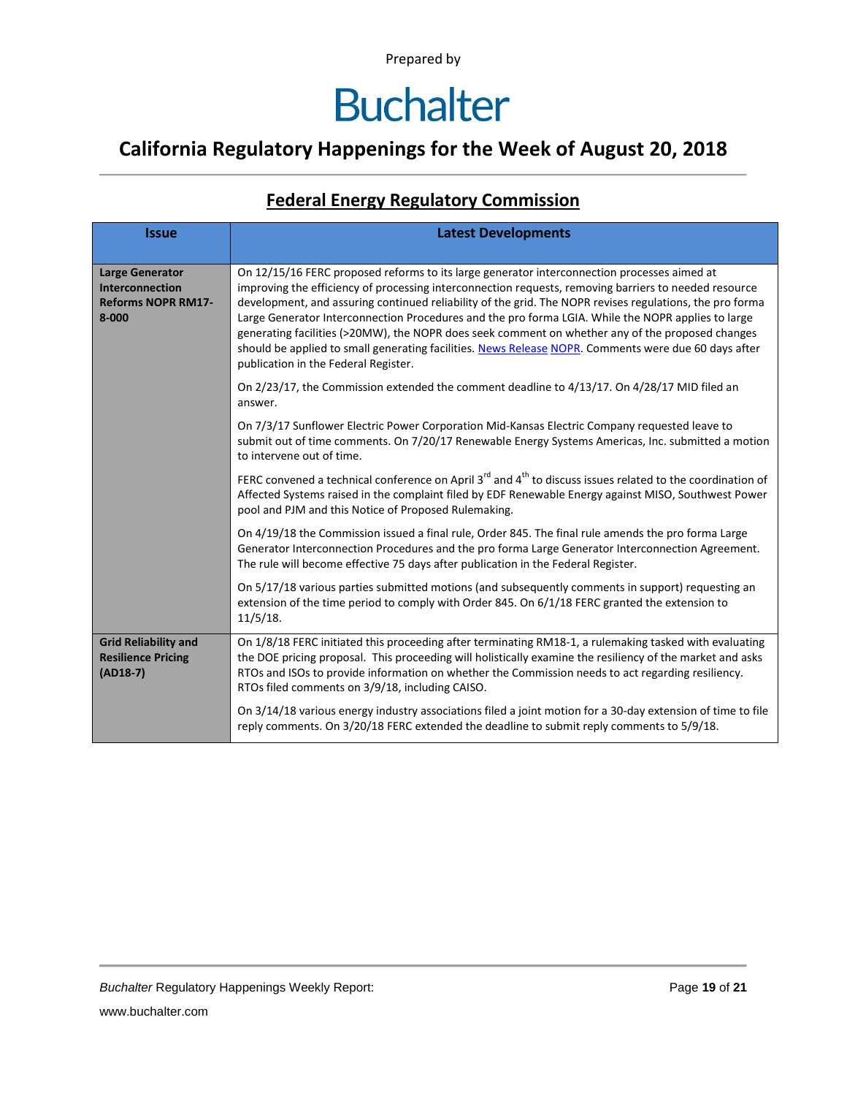### **California Regulatory Happenings for the Week of August 20, 2018**

#### **Federal Energy Regulatory Commission**

| <b>Issue</b>                                                                               | <b>Latest Developments</b>                                                                                                                                                                                                                                                                                                                                                                                                                                                                                                                                                                                                                                                 |  |  |  |  |
|--------------------------------------------------------------------------------------------|----------------------------------------------------------------------------------------------------------------------------------------------------------------------------------------------------------------------------------------------------------------------------------------------------------------------------------------------------------------------------------------------------------------------------------------------------------------------------------------------------------------------------------------------------------------------------------------------------------------------------------------------------------------------------|--|--|--|--|
| <b>Large Generator</b><br><b>Interconnection</b><br><b>Reforms NOPR RM17-</b><br>$8 - 000$ | On 12/15/16 FERC proposed reforms to its large generator interconnection processes aimed at<br>improving the efficiency of processing interconnection requests, removing barriers to needed resource<br>development, and assuring continued reliability of the grid. The NOPR revises regulations, the pro forma<br>Large Generator Interconnection Procedures and the pro forma LGIA. While the NOPR applies to large<br>generating facilities (>20MW), the NOPR does seek comment on whether any of the proposed changes<br>should be applied to small generating facilities. News Release NOPR. Comments were due 60 days after<br>publication in the Federal Register. |  |  |  |  |
|                                                                                            | On 2/23/17, the Commission extended the comment deadline to 4/13/17. On 4/28/17 MID filed an<br>answer.                                                                                                                                                                                                                                                                                                                                                                                                                                                                                                                                                                    |  |  |  |  |
|                                                                                            | On 7/3/17 Sunflower Electric Power Corporation Mid-Kansas Electric Company requested leave to<br>submit out of time comments. On 7/20/17 Renewable Energy Systems Americas, Inc. submitted a motion<br>to intervene out of time.                                                                                                                                                                                                                                                                                                                                                                                                                                           |  |  |  |  |
|                                                                                            | FERC convened a technical conference on April 3 <sup>rd</sup> and 4 <sup>th</sup> to discuss issues related to the coordination of<br>Affected Systems raised in the complaint filed by EDF Renewable Energy against MISO, Southwest Power<br>pool and PJM and this Notice of Proposed Rulemaking.                                                                                                                                                                                                                                                                                                                                                                         |  |  |  |  |
|                                                                                            | On 4/19/18 the Commission issued a final rule, Order 845. The final rule amends the pro forma Large<br>Generator Interconnection Procedures and the pro forma Large Generator Interconnection Agreement.<br>The rule will become effective 75 days after publication in the Federal Register.                                                                                                                                                                                                                                                                                                                                                                              |  |  |  |  |
|                                                                                            | On 5/17/18 various parties submitted motions (and subsequently comments in support) requesting an<br>extension of the time period to comply with Order 845. On 6/1/18 FERC granted the extension to<br>11/5/18.                                                                                                                                                                                                                                                                                                                                                                                                                                                            |  |  |  |  |
| <b>Grid Reliability and</b><br><b>Resilience Pricing</b><br>$(AD18-7)$                     | On 1/8/18 FERC initiated this proceeding after terminating RM18-1, a rulemaking tasked with evaluating<br>the DOE pricing proposal. This proceeding will holistically examine the resiliency of the market and asks<br>RTOs and ISOs to provide information on whether the Commission needs to act regarding resiliency.<br>RTOs filed comments on 3/9/18, including CAISO.                                                                                                                                                                                                                                                                                                |  |  |  |  |
|                                                                                            | On 3/14/18 various energy industry associations filed a joint motion for a 30-day extension of time to file<br>reply comments. On 3/20/18 FERC extended the deadline to submit reply comments to 5/9/18.                                                                                                                                                                                                                                                                                                                                                                                                                                                                   |  |  |  |  |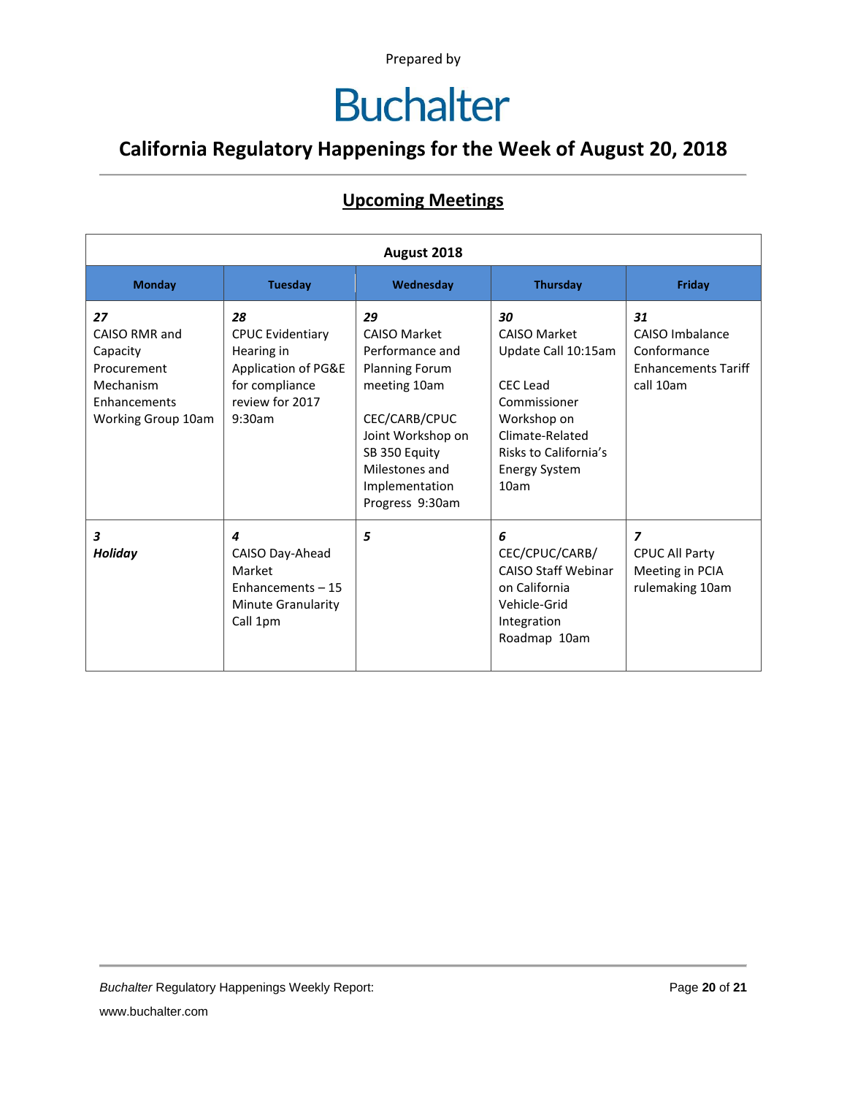### **California Regulatory Happenings for the Week of August 20, 2018**

#### **Upcoming Meetings**

| August 2018                                                                                       |                                                                                                                   |                                                                                                                                                                                                     |                                                                                                                                                                                |                                                                                 |
|---------------------------------------------------------------------------------------------------|-------------------------------------------------------------------------------------------------------------------|-----------------------------------------------------------------------------------------------------------------------------------------------------------------------------------------------------|--------------------------------------------------------------------------------------------------------------------------------------------------------------------------------|---------------------------------------------------------------------------------|
| <b>Monday</b>                                                                                     | <b>Tuesday</b>                                                                                                    | Wednesday                                                                                                                                                                                           | Thursday                                                                                                                                                                       | Friday                                                                          |
| 27<br>CAISO RMR and<br>Capacity<br>Procurement<br>Mechanism<br>Enhancements<br>Working Group 10am | 28<br><b>CPUC Evidentiary</b><br>Hearing in<br>Application of PG&E<br>for compliance<br>review for 2017<br>9:30am | 29<br><b>CAISO Market</b><br>Performance and<br><b>Planning Forum</b><br>meeting 10am<br>CEC/CARB/CPUC<br>Joint Workshop on<br>SB 350 Equity<br>Milestones and<br>Implementation<br>Progress 9:30am | 30<br><b>CAISO Market</b><br>Update Call 10:15am<br><b>CEC</b> Lead<br>Commissioner<br>Workshop on<br>Climate-Related<br>Risks to California's<br><b>Energy System</b><br>10am | 31<br>CAISO Imbalance<br>Conformance<br><b>Enhancements Tariff</b><br>call 10am |
| 3<br>Holiday                                                                                      | 4<br>CAISO Day-Ahead<br>Market<br>Enhancements - 15<br>Minute Granularity<br>Call 1pm                             | 5                                                                                                                                                                                                   | 6<br>CEC/CPUC/CARB/<br><b>CAISO Staff Webinar</b><br>on California<br>Vehicle-Grid<br>Integration<br>Roadmap 10am                                                              | 7<br><b>CPUC All Party</b><br>Meeting in PCIA<br>rulemaking 10am                |